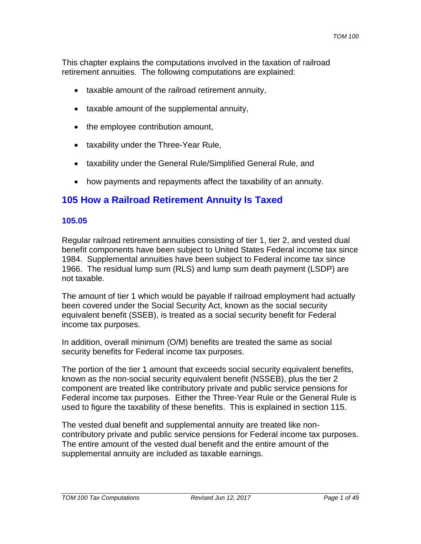This chapter explains the computations involved in the taxation of railroad retirement annuities. The following computations are explained:

- taxable amount of the railroad retirement annuity,
- taxable amount of the supplemental annuity,
- the employee contribution amount,
- taxability under the Three-Year Rule,
- taxability under the General Rule/Simplified General Rule, and
- how payments and repayments affect the taxability of an annuity.

# **105 How a Railroad Retirement Annuity Is Taxed**

#### **105.05**

Regular railroad retirement annuities consisting of tier 1, tier 2, and vested dual benefit components have been subject to United States Federal income tax since 1984. Supplemental annuities have been subject to Federal income tax since 1966. The residual lump sum (RLS) and lump sum death payment (LSDP) are not taxable.

The amount of tier 1 which would be payable if railroad employment had actually been covered under the Social Security Act, known as the social security equivalent benefit (SSEB), is treated as a social security benefit for Federal income tax purposes.

In addition, overall minimum (O/M) benefits are treated the same as social security benefits for Federal income tax purposes.

The portion of the tier 1 amount that exceeds social security equivalent benefits, known as the non-social security equivalent benefit (NSSEB), plus the tier 2 component are treated like contributory private and public service pensions for Federal income tax purposes. Either the Three-Year Rule or the General Rule is used to figure the taxability of these benefits. This is explained in section 115.

The vested dual benefit and supplemental annuity are treated like noncontributory private and public service pensions for Federal income tax purposes. The entire amount of the vested dual benefit and the entire amount of the supplemental annuity are included as taxable earnings.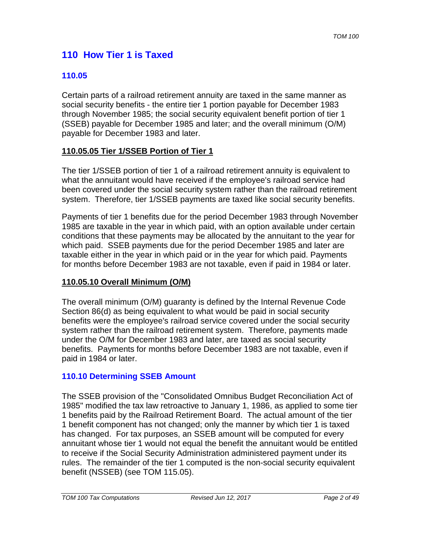# **110 How Tier 1 is Taxed**

### **110.05**

Certain parts of a railroad retirement annuity are taxed in the same manner as social security benefits - the entire tier 1 portion payable for December 1983 through November 1985; the social security equivalent benefit portion of tier 1 (SSEB) payable for December 1985 and later; and the overall minimum (O/M) payable for December 1983 and later.

#### **110.05.05 Tier 1/SSEB Portion of Tier 1**

The tier 1/SSEB portion of tier 1 of a railroad retirement annuity is equivalent to what the annuitant would have received if the employee's railroad service had been covered under the social security system rather than the railroad retirement system. Therefore, tier 1/SSEB payments are taxed like social security benefits.

Payments of tier 1 benefits due for the period December 1983 through November 1985 are taxable in the year in which paid, with an option available under certain conditions that these payments may be allocated by the annuitant to the year for which paid. SSEB payments due for the period December 1985 and later are taxable either in the year in which paid or in the year for which paid. Payments for months before December 1983 are not taxable, even if paid in 1984 or later.

#### **110.05.10 Overall Minimum (O/M)**

The overall minimum (O/M) guaranty is defined by the Internal Revenue Code Section 86(d) as being equivalent to what would be paid in social security benefits were the employee's railroad service covered under the social security system rather than the railroad retirement system. Therefore, payments made under the O/M for December 1983 and later, are taxed as social security benefits. Payments for months before December 1983 are not taxable, even if paid in 1984 or later.

### **110.10 Determining SSEB Amount**

The SSEB provision of the "Consolidated Omnibus Budget Reconciliation Act of 1985" modified the tax law retroactive to January 1, 1986, as applied to some tier 1 benefits paid by the Railroad Retirement Board. The actual amount of the tier 1 benefit component has not changed; only the manner by which tier 1 is taxed has changed. For tax purposes, an SSEB amount will be computed for every annuitant whose tier 1 would not equal the benefit the annuitant would be entitled to receive if the Social Security Administration administered payment under its rules. The remainder of the tier 1 computed is the non-social security equivalent benefit (NSSEB) (see TOM 115.05).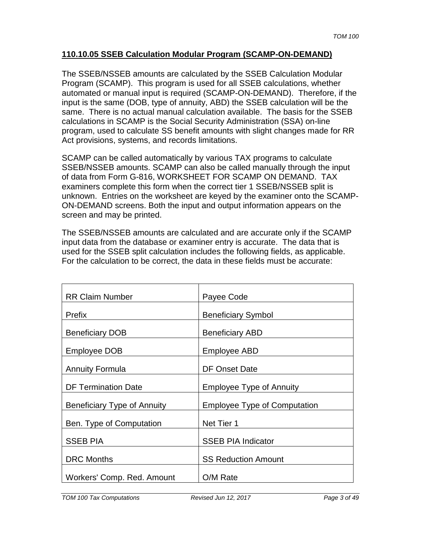#### **110.10.05 SSEB Calculation Modular Program (SCAMP-ON-DEMAND)**

The SSEB/NSSEB amounts are calculated by the SSEB Calculation Modular Program (SCAMP). This program is used for all SSEB calculations, whether automated or manual input is required (SCAMP-ON-DEMAND). Therefore, if the input is the same (DOB, type of annuity, ABD) the SSEB calculation will be the same. There is no actual manual calculation available. The basis for the SSEB calculations in SCAMP is the Social Security Administration (SSA) on-line program, used to calculate SS benefit amounts with slight changes made for RR Act provisions, systems, and records limitations.

SCAMP can be called automatically by various TAX programs to calculate SSEB/NSSEB amounts. SCAMP can also be called manually through the input of data from Form G-816, WORKSHEET FOR SCAMP ON DEMAND. TAX examiners complete this form when the correct tier 1 SSEB/NSSEB split is unknown. Entries on the worksheet are keyed by the examiner onto the SCAMP-ON-DEMAND screens. Both the input and output information appears on the screen and may be printed.

The SSEB/NSSEB amounts are calculated and are accurate only if the SCAMP input data from the database or examiner entry is accurate. The data that is used for the SSEB split calculation includes the following fields, as applicable. For the calculation to be correct, the data in these fields must be accurate:

| <b>RR Claim Number</b>      | Payee Code                          |
|-----------------------------|-------------------------------------|
| Prefix                      | <b>Beneficiary Symbol</b>           |
| <b>Beneficiary DOB</b>      | <b>Beneficiary ABD</b>              |
| Employee DOB                | <b>Employee ABD</b>                 |
| <b>Annuity Formula</b>      | <b>DF Onset Date</b>                |
| <b>DF Termination Date</b>  | <b>Employee Type of Annuity</b>     |
| Beneficiary Type of Annuity | <b>Employee Type of Computation</b> |
| Ben. Type of Computation    | Net Tier 1                          |
| <b>SSEB PIA</b>             | <b>SSEB PIA Indicator</b>           |
| <b>DRC</b> Months           | <b>SS Reduction Amount</b>          |
| Workers' Comp. Red. Amount  | O/M Rate                            |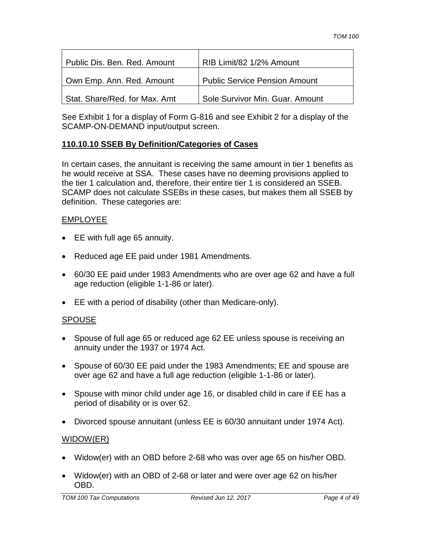| Public Dis. Ben. Red. Amount  | RIB Limit/82 1/2% Amount             |
|-------------------------------|--------------------------------------|
| Own Emp. Ann. Red. Amount     | <b>Public Service Pension Amount</b> |
| Stat. Share/Red. for Max. Amt | Sole Survivor Min. Guar. Amount      |

See Exhibit 1 for a display of Form G-816 and see Exhibit 2 for a display of the SCAMP-ON-DEMAND input/output screen.

### **110.10.10 SSEB By Definition/Categories of Cases**

In certain cases, the annuitant is receiving the same amount in tier 1 benefits as he would receive at SSA. These cases have no deeming provisions applied to the tier 1 calculation and, therefore, their entire tier 1 is considered an SSEB. SCAMP does not calculate SSEBs in these cases, but makes them all SSEB by definition. These categories are:

### EMPLOYEE

- EE with full age 65 annuity.
- Reduced age EE paid under 1981 Amendments.
- 60/30 EE paid under 1983 Amendments who are over age 62 and have a full age reduction (eligible 1-1-86 or later).
- EE with a period of disability (other than Medicare-only).

### SPOUSE

- Spouse of full age 65 or reduced age 62 EE unless spouse is receiving an annuity under the 1937 or 1974 Act.
- Spouse of 60/30 EE paid under the 1983 Amendments; EE and spouse are over age 62 and have a full age reduction (eligible 1-1-86 or later).
- Spouse with minor child under age 16, or disabled child in care if EE has a period of disability or is over 62.
- Divorced spouse annuitant (unless EE is 60/30 annuitant under 1974 Act).

### WIDOW(ER)

- Widow(er) with an OBD before 2-68 who was over age 65 on his/her OBD.
- Widow(er) with an OBD of 2-68 or later and were over age 62 on his/her OBD.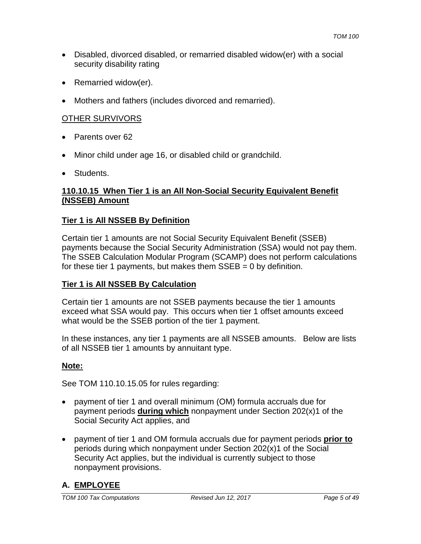- Disabled, divorced disabled, or remarried disabled widow(er) with a social security disability rating
- Remarried widow(er).
- Mothers and fathers (includes divorced and remarried).

### OTHER SURVIVORS

- Parents over 62
- Minor child under age 16, or disabled child or grandchild.
- Students.

#### **110.10.15 When Tier 1 is an All Non-Social Security Equivalent Benefit (NSSEB) Amount**

#### **Tier 1 is All NSSEB By Definition**

Certain tier 1 amounts are not Social Security Equivalent Benefit (SSEB) payments because the Social Security Administration (SSA) would not pay them. The SSEB Calculation Modular Program (SCAMP) does not perform calculations for these tier 1 payments, but makes them  $SSEB = 0$  by definition.

#### **Tier 1 is All NSSEB By Calculation**

Certain tier 1 amounts are not SSEB payments because the tier 1 amounts exceed what SSA would pay. This occurs when tier 1 offset amounts exceed what would be the SSEB portion of the tier 1 payment.

In these instances, any tier 1 payments are all NSSEB amounts. Below are lists of all NSSEB tier 1 amounts by annuitant type.

### **Note:**

See TOM 110.10.15.05 for rules regarding:

- payment of tier 1 and overall minimum (OM) formula accruals due for payment periods **during which** nonpayment under Section 202(x)1 of the Social Security Act applies, and
- payment of tier 1 and OM formula accruals due for payment periods **prior to** periods during which nonpayment under Section 202(x)1 of the Social Security Act applies, but the individual is currently subject to those nonpayment provisions.

### **A. EMPLOYEE**

*TOM 100 Tax Computations Revised Jun 12, 2017 Page 5 of 49*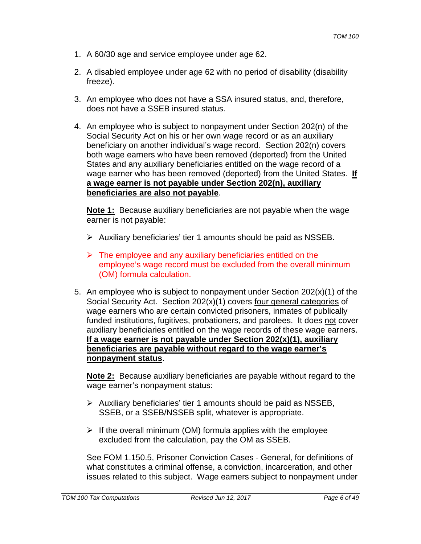- 1. A 60/30 age and service employee under age 62.
- 2. A disabled employee under age 62 with no period of disability (disability freeze).
- 3. An employee who does not have a SSA insured status, and, therefore, does not have a SSEB insured status.
- 4. An employee who is subject to nonpayment under Section 202(n) of the Social Security Act on his or her own wage record or as an auxiliary beneficiary on another individual's wage record. Section 202(n) covers both wage earners who have been removed (deported) from the United States and any auxiliary beneficiaries entitled on the wage record of a wage earner who has been removed (deported) from the United States. **If a wage earner is not payable under Section 202(n), auxiliary beneficiaries are also not payable**.

**Note 1:** Because auxiliary beneficiaries are not payable when the wage earner is not payable:

- $\triangleright$  Auxiliary beneficiaries' tier 1 amounts should be paid as NSSEB.
- $\triangleright$  The employee and any auxiliary beneficiaries entitled on the employee's wage record must be excluded from the overall minimum (OM) formula calculation.
- 5. An employee who is subject to nonpayment under Section 202(x)(1) of the Social Security Act. Section 202(x)(1) covers four general categories of wage earners who are certain convicted prisoners, inmates of publically funded institutions, fugitives, probationers, and parolees. It does not cover auxiliary beneficiaries entitled on the wage records of these wage earners. **If a wage earner is not payable under Section 202(x)(1), auxiliary beneficiaries are payable without regard to the wage earner's nonpayment status**.

**Note 2:** Because auxiliary beneficiaries are payable without regard to the wage earner's nonpayment status:

- $\triangleright$  Auxiliary beneficiaries' tier 1 amounts should be paid as NSSEB, SSEB, or a SSEB/NSSEB split, whatever is appropriate.
- $\triangleright$  If the overall minimum (OM) formula applies with the employee excluded from the calculation, pay the OM as SSEB.

See FOM 1.150.5, Prisoner Conviction Cases - General, for definitions of what constitutes a criminal offense, a conviction, incarceration, and other issues related to this subject. Wage earners subject to nonpayment under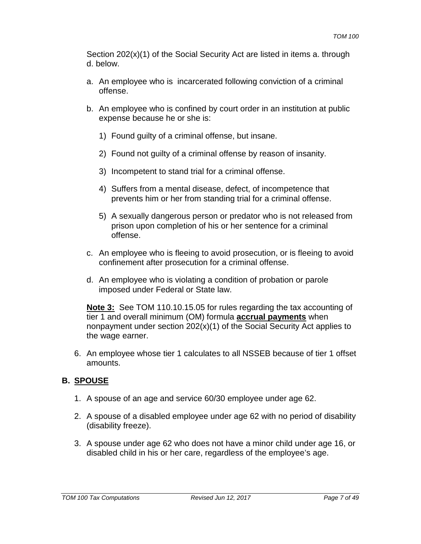Section 202(x)(1) of the Social Security Act are listed in items a. through d. below.

- a. An employee who is incarcerated following conviction of a criminal offense.
- b. An employee who is confined by court order in an institution at public expense because he or she is:
	- 1) Found guilty of a criminal offense, but insane.
	- 2) Found not guilty of a criminal offense by reason of insanity.
	- 3) Incompetent to stand trial for a criminal offense.
	- 4) Suffers from a mental disease, defect, of incompetence that prevents him or her from standing trial for a criminal offense.
	- 5) A sexually dangerous person or predator who is not released from prison upon completion of his or her sentence for a criminal offense.
- c. An employee who is fleeing to avoid prosecution, or is fleeing to avoid confinement after prosecution for a criminal offense.
- d. An employee who is violating a condition of probation or parole imposed under Federal or State law.

**Note 3:** See TOM 110.10.15.05 for rules regarding the tax accounting of tier 1 and overall minimum (OM) formula **accrual payments** when nonpayment under section 202(x)(1) of the Social Security Act applies to the wage earner.

6. An employee whose tier 1 calculates to all NSSEB because of tier 1 offset amounts.

### **B. SPOUSE**

- 1. A spouse of an age and service 60/30 employee under age 62.
- 2. A spouse of a disabled employee under age 62 with no period of disability (disability freeze).
- 3. A spouse under age 62 who does not have a minor child under age 16, or disabled child in his or her care, regardless of the employee's age.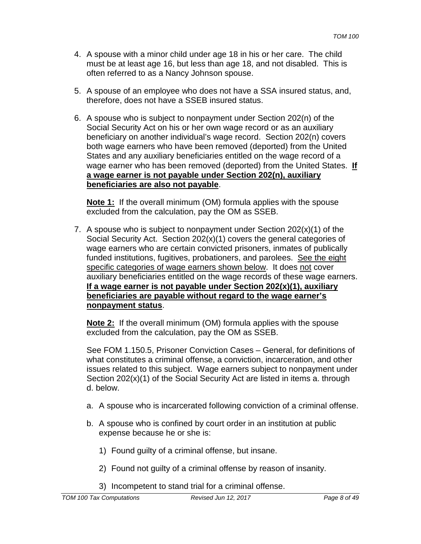- 4. A spouse with a minor child under age 18 in his or her care. The child must be at least age 16, but less than age 18, and not disabled. This is often referred to as a Nancy Johnson spouse.
- 5. A spouse of an employee who does not have a SSA insured status, and, therefore, does not have a SSEB insured status.
- 6. A spouse who is subject to nonpayment under Section 202(n) of the Social Security Act on his or her own wage record or as an auxiliary beneficiary on another individual's wage record. Section 202(n) covers both wage earners who have been removed (deported) from the United States and any auxiliary beneficiaries entitled on the wage record of a wage earner who has been removed (deported) from the United States. **If a wage earner is not payable under Section 202(n), auxiliary beneficiaries are also not payable**.

**Note 1:** If the overall minimum (OM) formula applies with the spouse excluded from the calculation, pay the OM as SSEB.

7. A spouse who is subject to nonpayment under Section  $202(x)(1)$  of the Social Security Act. Section 202(x)(1) covers the general categories of wage earners who are certain convicted prisoners, inmates of publically funded institutions, fugitives, probationers, and parolees. See the eight specific categories of wage earners shown below. It does not cover auxiliary beneficiaries entitled on the wage records of these wage earners. **If a wage earner is not payable under Section 202(x)(1), auxiliary beneficiaries are payable without regard to the wage earner's nonpayment status**.

**Note 2:** If the overall minimum (OM) formula applies with the spouse excluded from the calculation, pay the OM as SSEB.

See FOM 1.150.5, Prisoner Conviction Cases – General, for definitions of what constitutes a criminal offense, a conviction, incarceration, and other issues related to this subject. Wage earners subject to nonpayment under Section 202(x)(1) of the Social Security Act are listed in items a. through d. below.

- a. A spouse who is incarcerated following conviction of a criminal offense.
- b. A spouse who is confined by court order in an institution at public expense because he or she is:
	- 1) Found guilty of a criminal offense, but insane.
	- 2) Found not guilty of a criminal offense by reason of insanity.
	- 3) Incompetent to stand trial for a criminal offense.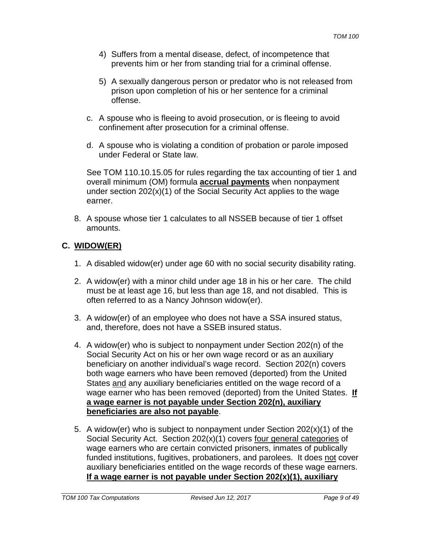- 4) Suffers from a mental disease, defect, of incompetence that prevents him or her from standing trial for a criminal offense.
- 5) A sexually dangerous person or predator who is not released from prison upon completion of his or her sentence for a criminal offense.
- c. A spouse who is fleeing to avoid prosecution, or is fleeing to avoid confinement after prosecution for a criminal offense.
- d. A spouse who is violating a condition of probation or parole imposed under Federal or State law.

See TOM 110.10.15.05 for rules regarding the tax accounting of tier 1 and overall minimum (OM) formula **accrual payments** when nonpayment under section 202(x)(1) of the Social Security Act applies to the wage earner.

8. A spouse whose tier 1 calculates to all NSSEB because of tier 1 offset amounts.

# **C. WIDOW(ER)**

- 1. A disabled widow(er) under age 60 with no social security disability rating.
- 2. A widow(er) with a minor child under age 18 in his or her care. The child must be at least age 16, but less than age 18, and not disabled. This is often referred to as a Nancy Johnson widow(er).
- 3. A widow(er) of an employee who does not have a SSA insured status, and, therefore, does not have a SSEB insured status.
- 4. A widow(er) who is subject to nonpayment under Section 202(n) of the Social Security Act on his or her own wage record or as an auxiliary beneficiary on another individual's wage record. Section 202(n) covers both wage earners who have been removed (deported) from the United States and any auxiliary beneficiaries entitled on the wage record of a wage earner who has been removed (deported) from the United States. **If a wage earner is not payable under Section 202(n), auxiliary beneficiaries are also not payable**.
- 5. A widow(er) who is subject to nonpayment under Section 202(x)(1) of the Social Security Act. Section 202(x)(1) covers four general categories of wage earners who are certain convicted prisoners, inmates of publically funded institutions, fugitives, probationers, and parolees. It does not cover auxiliary beneficiaries entitled on the wage records of these wage earners. **If a wage earner is not payable under Section 202(x)(1), auxiliary**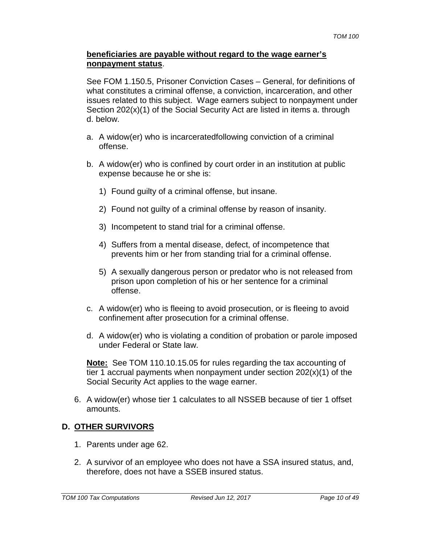#### **beneficiaries are payable without regard to the wage earner's nonpayment status**.

See FOM 1.150.5, Prisoner Conviction Cases – General, for definitions of what constitutes a criminal offense, a conviction, incarceration, and other issues related to this subject. Wage earners subject to nonpayment under Section 202(x)(1) of the Social Security Act are listed in items a. through d. below.

- a. A widow(er) who is incarceratedfollowing conviction of a criminal offense.
- b. A widow(er) who is confined by court order in an institution at public expense because he or she is:
	- 1) Found guilty of a criminal offense, but insane.
	- 2) Found not guilty of a criminal offense by reason of insanity.
	- 3) Incompetent to stand trial for a criminal offense.
	- 4) Suffers from a mental disease, defect, of incompetence that prevents him or her from standing trial for a criminal offense.
	- 5) A sexually dangerous person or predator who is not released from prison upon completion of his or her sentence for a criminal offense.
- c. A widow(er) who is fleeing to avoid prosecution, or is fleeing to avoid confinement after prosecution for a criminal offense.
- d. A widow(er) who is violating a condition of probation or parole imposed under Federal or State law.

**Note:** See TOM 110.10.15.05 for rules regarding the tax accounting of tier 1 accrual payments when nonpayment under section  $202(x)(1)$  of the Social Security Act applies to the wage earner.

6. A widow(er) whose tier 1 calculates to all NSSEB because of tier 1 offset amounts.

### **D. OTHER SURVIVORS**

- 1. Parents under age 62.
- 2. A survivor of an employee who does not have a SSA insured status, and, therefore, does not have a SSEB insured status.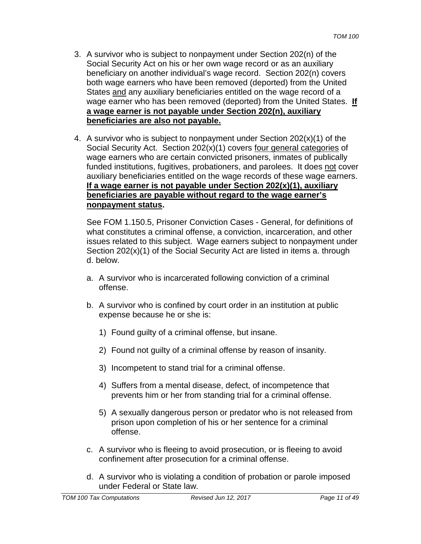- 3. A survivor who is subject to nonpayment under Section 202(n) of the Social Security Act on his or her own wage record or as an auxiliary beneficiary on another individual's wage record. Section 202(n) covers both wage earners who have been removed (deported) from the United States and any auxiliary beneficiaries entitled on the wage record of a wage earner who has been removed (deported) from the United States. **If a wage earner is not payable under Section 202(n), auxiliary beneficiaries are also not payable.**
- 4. A survivor who is subject to nonpayment under Section 202(x)(1) of the Social Security Act. Section 202(x)(1) covers four general categories of wage earners who are certain convicted prisoners, inmates of publically funded institutions, fugitives, probationers, and parolees. It does not cover auxiliary beneficiaries entitled on the wage records of these wage earners. **If a wage earner is not payable under Section 202(x)(1), auxiliary beneficiaries are payable without regard to the wage earner's nonpayment status.**

See FOM 1.150.5, Prisoner Conviction Cases - General, for definitions of what constitutes a criminal offense, a conviction, incarceration, and other issues related to this subject. Wage earners subject to nonpayment under Section 202(x)(1) of the Social Security Act are listed in items a. through d. below.

- a. A survivor who is incarcerated following conviction of a criminal offense.
- b. A survivor who is confined by court order in an institution at public expense because he or she is:
	- 1) Found guilty of a criminal offense, but insane.
	- 2) Found not guilty of a criminal offense by reason of insanity.
	- 3) Incompetent to stand trial for a criminal offense.
	- 4) Suffers from a mental disease, defect, of incompetence that prevents him or her from standing trial for a criminal offense.
	- 5) A sexually dangerous person or predator who is not released from prison upon completion of his or her sentence for a criminal offense.
- c. A survivor who is fleeing to avoid prosecution, or is fleeing to avoid confinement after prosecution for a criminal offense.
- d. A survivor who is violating a condition of probation or parole imposed under Federal or State law.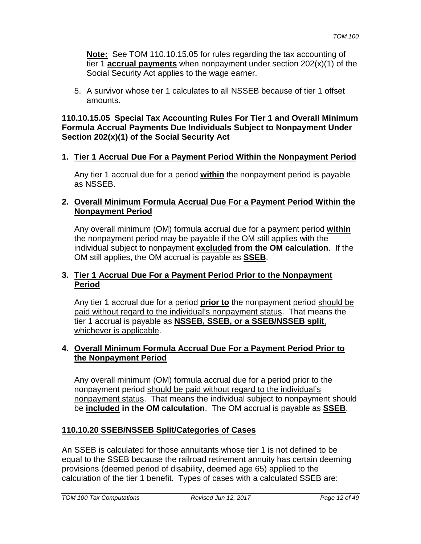**Note:** See TOM 110.10.15.05 for rules regarding the tax accounting of tier 1 **accrual payments** when nonpayment under section 202(x)(1) of the Social Security Act applies to the wage earner.

5. A survivor whose tier 1 calculates to all NSSEB because of tier 1 offset amounts.

#### **110.10.15.05 Special Tax Accounting Rules For Tier 1 and Overall Minimum Formula Accrual Payments Due Individuals Subject to Nonpayment Under Section 202(x)(1) of the Social Security Act**

### **1. Tier 1 Accrual Due For a Payment Period Within the Nonpayment Period**

Any tier 1 accrual due for a period **within** the nonpayment period is payable as NSSEB.

### **2. Overall Minimum Formula Accrual Due For a Payment Period Within the Nonpayment Period**

Any overall minimum (OM) formula accrual due for a payment period **within** the nonpayment period may be payable if the OM still applies with the individual subject to nonpayment **excluded from the OM calculation**. If the OM still applies, the OM accrual is payable as **SSEB**.

### **3. Tier 1 Accrual Due For a Payment Period Prior to the Nonpayment Period**

Any tier 1 accrual due for a period **prior to** the nonpayment period should be paid without regard to the individual's nonpayment status. That means the tier 1 accrual is payable as **NSSEB, SSEB, or a SSEB/NSSEB split**, whichever is applicable.

### **4. Overall Minimum Formula Accrual Due For a Payment Period Prior to the Nonpayment Period**

Any overall minimum (OM) formula accrual due for a period prior to the nonpayment period should be paid without regard to the individual's nonpayment status. That means the individual subject to nonpayment should be **included in the OM calculation**. The OM accrual is payable as **SSEB**.

### **110.10.20 SSEB/NSSEB Split/Categories of Cases**

An SSEB is calculated for those annuitants whose tier 1 is not defined to be equal to the SSEB because the railroad retirement annuity has certain deeming provisions (deemed period of disability, deemed age 65) applied to the calculation of the tier 1 benefit. Types of cases with a calculated SSEB are: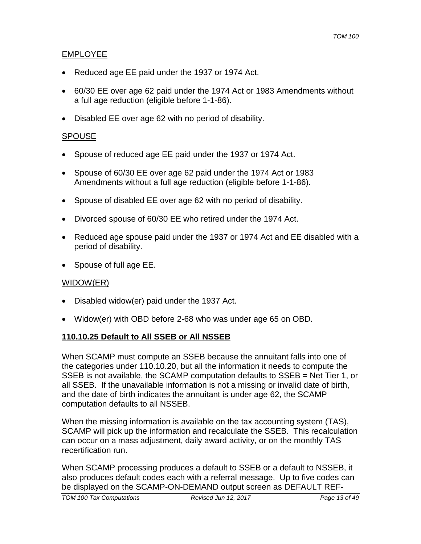### EMPLOYEE

- Reduced age EE paid under the 1937 or 1974 Act.
- 60/30 EE over age 62 paid under the 1974 Act or 1983 Amendments without a full age reduction (eligible before 1-1-86).
- Disabled EE over age 62 with no period of disability.

#### SPOUSE

- Spouse of reduced age EE paid under the 1937 or 1974 Act.
- Spouse of 60/30 EE over age 62 paid under the 1974 Act or 1983 Amendments without a full age reduction (eligible before 1-1-86).
- Spouse of disabled EE over age 62 with no period of disability.
- Divorced spouse of 60/30 EE who retired under the 1974 Act.
- Reduced age spouse paid under the 1937 or 1974 Act and EE disabled with a period of disability.
- Spouse of full age EE.

### WIDOW(ER)

- Disabled widow(er) paid under the 1937 Act.
- Widow(er) with OBD before 2-68 who was under age 65 on OBD.

### **110.10.25 Default to All SSEB or All NSSEB**

When SCAMP must compute an SSEB because the annuitant falls into one of the categories under 110.10.20, but all the information it needs to compute the SSEB is not available, the SCAMP computation defaults to SSEB = Net Tier 1, or all SSEB. If the unavailable information is not a missing or invalid date of birth, and the date of birth indicates the annuitant is under age 62, the SCAMP computation defaults to all NSSEB.

When the missing information is available on the tax accounting system (TAS), SCAMP will pick up the information and recalculate the SSEB. This recalculation can occur on a mass adjustment, daily award activity, or on the monthly TAS recertification run.

When SCAMP processing produces a default to SSEB or a default to NSSEB, it also produces default codes each with a referral message. Up to five codes can be displayed on the SCAMP-ON-DEMAND output screen as DEFAULT REF-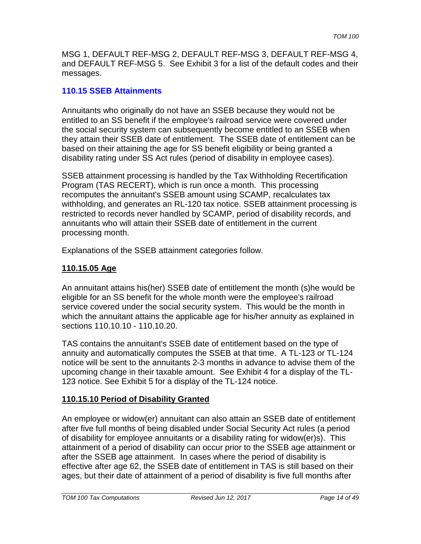MSG 1, DEFAULT REF-MSG 2, DEFAULT REF-MSG 3, DEFAULT REF-MSG 4, and DEFAULT REF-MSG 5. See Exhibit 3 for a list of the default codes and their messages.

### **110.15 SSEB Attainments**

Annuitants who originally do not have an SSEB because they would not be entitled to an SS benefit if the employee's railroad service were covered under the social security system can subsequently become entitled to an SSEB when they attain their SSEB date of entitlement. The SSEB date of entitlement can be based on their attaining the age for SS benefit eligibility or being granted a disability rating under SS Act rules (period of disability in employee cases).

SSEB attainment processing is handled by the Tax Withholding Recertification Program (TAS RECERT), which is run once a month. This processing recomputes the annuitant's SSEB amount using SCAMP, recalculates tax withholding, and generates an RL-120 tax notice. SSEB attainment processing is restricted to records never handled by SCAMP, period of disability records, and annuitants who will attain their SSEB date of entitlement in the current processing month.

Explanations of the SSEB attainment categories follow.

# **110.15.05 Age**

An annuitant attains his(her) SSEB date of entitlement the month (s)he would be eligible for an SS benefit for the whole month were the employee's railroad service covered under the social security system. This would be the month in which the annuitant attains the applicable age for his/her annuity as explained in sections 110.10.10 - 110.10.20.

TAS contains the annuitant's SSEB date of entitlement based on the type of annuity and automatically computes the SSEB at that time. A TL-123 or TL-124 notice will be sent to the annuitants 2-3 months in advance to advise them of the upcoming change in their taxable amount. See Exhibit 4 for a display of the TL-123 notice. See Exhibit 5 for a display of the TL-124 notice.

# **110.15.10 Period of Disability Granted**

An employee or widow(er) annuitant can also attain an SSEB date of entitlement after five full months of being disabled under Social Security Act rules (a period of disability for employee annuitants or a disability rating for widow(er)s). This attainment of a period of disability can occur prior to the SSEB age attainment or after the SSEB age attainment. In cases where the period of disability is effective after age 62, the SSEB date of entitlement in TAS is still based on their ages, but their date of attainment of a period of disability is five full months after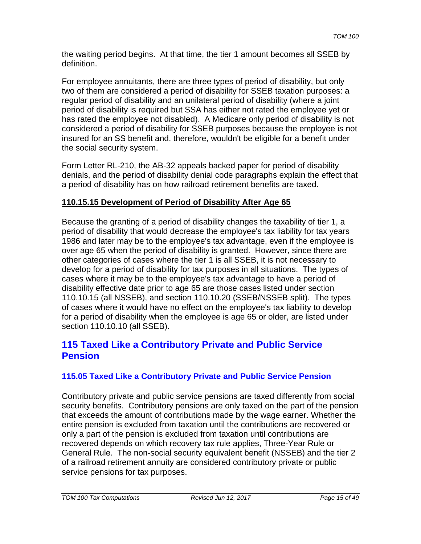the waiting period begins. At that time, the tier 1 amount becomes all SSEB by definition.

For employee annuitants, there are three types of period of disability, but only two of them are considered a period of disability for SSEB taxation purposes: a regular period of disability and an unilateral period of disability (where a joint period of disability is required but SSA has either not rated the employee yet or has rated the employee not disabled). A Medicare only period of disability is not considered a period of disability for SSEB purposes because the employee is not insured for an SS benefit and, therefore, wouldn't be eligible for a benefit under the social security system.

Form Letter RL-210, the AB-32 appeals backed paper for period of disability denials, and the period of disability denial code paragraphs explain the effect that a period of disability has on how railroad retirement benefits are taxed.

# **110.15.15 Development of Period of Disability After Age 65**

Because the granting of a period of disability changes the taxability of tier 1, a period of disability that would decrease the employee's tax liability for tax years 1986 and later may be to the employee's tax advantage, even if the employee is over age 65 when the period of disability is granted. However, since there are other categories of cases where the tier 1 is all SSEB, it is not necessary to develop for a period of disability for tax purposes in all situations. The types of cases where it may be to the employee's tax advantage to have a period of disability effective date prior to age 65 are those cases listed under section 110.10.15 (all NSSEB), and section 110.10.20 (SSEB/NSSEB split). The types of cases where it would have no effect on the employee's tax liability to develop for a period of disability when the employee is age 65 or older, are listed under section 110.10.10 (all SSEB).

# **115 Taxed Like a Contributory Private and Public Service Pension**

# **115.05 Taxed Like a Contributory Private and Public Service Pension**

Contributory private and public service pensions are taxed differently from social security benefits. Contributory pensions are only taxed on the part of the pension that exceeds the amount of contributions made by the wage earner. Whether the entire pension is excluded from taxation until the contributions are recovered or only a part of the pension is excluded from taxation until contributions are recovered depends on which recovery tax rule applies, Three-Year Rule or General Rule. The non-social security equivalent benefit (NSSEB) and the tier 2 of a railroad retirement annuity are considered contributory private or public service pensions for tax purposes.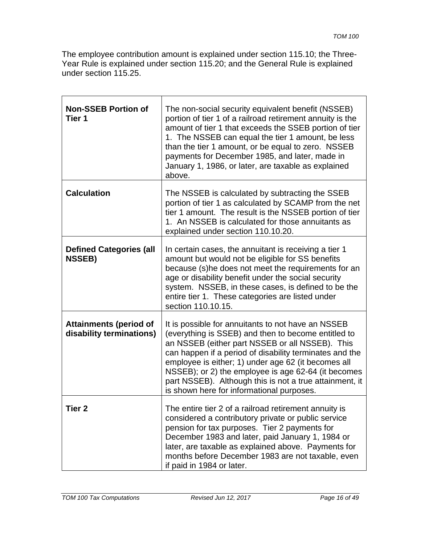The employee contribution amount is explained under section 115.10; the Three-Year Rule is explained under section 115.20; and the General Rule is explained under section 115.25.

| <b>Non-SSEB Portion of</b><br>Tier 1                      | The non-social security equivalent benefit (NSSEB)<br>portion of tier 1 of a railroad retirement annuity is the<br>amount of tier 1 that exceeds the SSEB portion of tier<br>1. The NSSEB can equal the tier 1 amount, be less<br>than the tier 1 amount, or be equal to zero. NSSEB<br>payments for December 1985, and later, made in<br>January 1, 1986, or later, are taxable as explained<br>above.                                       |
|-----------------------------------------------------------|-----------------------------------------------------------------------------------------------------------------------------------------------------------------------------------------------------------------------------------------------------------------------------------------------------------------------------------------------------------------------------------------------------------------------------------------------|
| <b>Calculation</b>                                        | The NSSEB is calculated by subtracting the SSEB<br>portion of tier 1 as calculated by SCAMP from the net<br>tier 1 amount. The result is the NSSEB portion of tier<br>1. An NSSEB is calculated for those annuitants as<br>explained under section 110.10.20.                                                                                                                                                                                 |
| <b>Defined Categories (all</b><br><b>NSSEB)</b>           | In certain cases, the annuitant is receiving a tier 1<br>amount but would not be eligible for SS benefits<br>because (s)he does not meet the requirements for an<br>age or disability benefit under the social security<br>system. NSSEB, in these cases, is defined to be the<br>entire tier 1. These categories are listed under<br>section 110.10.15.                                                                                      |
| <b>Attainments (period of</b><br>disability terminations) | It is possible for annuitants to not have an NSSEB<br>(everything is SSEB) and then to become entitled to<br>an NSSEB (either part NSSEB or all NSSEB). This<br>can happen if a period of disability terminates and the<br>employee is either; 1) under age 62 (it becomes all<br>NSSEB); or 2) the employee is age 62-64 (it becomes<br>part NSSEB). Although this is not a true attainment, it<br>is shown here for informational purposes. |
| Tier <sub>2</sub>                                         | The entire tier 2 of a railroad retirement annuity is<br>considered a contributory private or public service<br>pension for tax purposes. Tier 2 payments for<br>December 1983 and later, paid January 1, 1984 or<br>later, are taxable as explained above. Payments for<br>months before December 1983 are not taxable, even<br>if paid in 1984 or later.                                                                                    |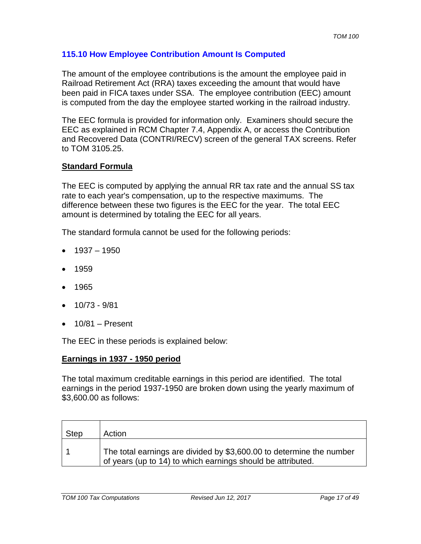### **115.10 How Employee Contribution Amount Is Computed**

The amount of the employee contributions is the amount the employee paid in Railroad Retirement Act (RRA) taxes exceeding the amount that would have been paid in FICA taxes under SSA. The employee contribution (EEC) amount is computed from the day the employee started working in the railroad industry.

The EEC formula is provided for information only. Examiners should secure the EEC as explained in RCM Chapter 7.4, Appendix A, or access the Contribution and Recovered Data (CONTRI/RECV) screen of the general TAX screens. Refer to TOM 3105.25.

#### **Standard Formula**

The EEC is computed by applying the annual RR tax rate and the annual SS tax rate to each year's compensation, up to the respective maximums. The difference between these two figures is the EEC for the year. The total EEC amount is determined by totaling the EEC for all years.

The standard formula cannot be used for the following periods:

- $\bullet$  1937 1950
- 1959
- 1965
- 10/73 9/81
- $\bullet$  10/81 Present

The EEC in these periods is explained below:

#### **Earnings in 1937 - 1950 period**

The total maximum creditable earnings in this period are identified. The total earnings in the period 1937-1950 are broken down using the yearly maximum of \$3,600.00 as follows:

| <b>Step</b> | Action                                                                                                                              |
|-------------|-------------------------------------------------------------------------------------------------------------------------------------|
|             | The total earnings are divided by \$3,600.00 to determine the number<br>of years (up to 14) to which earnings should be attributed. |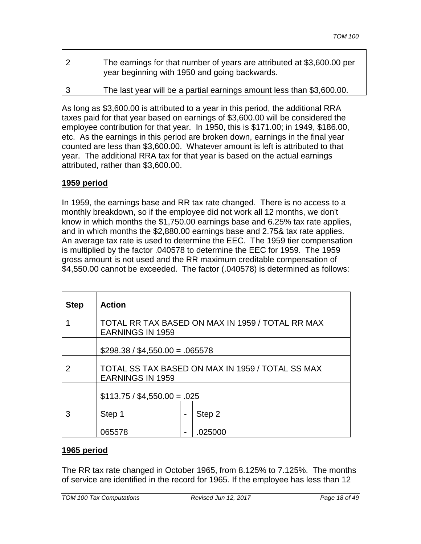| The earnings for that number of years are attributed at \$3,600.00 per<br>year beginning with 1950 and going backwards. |
|-------------------------------------------------------------------------------------------------------------------------|
| The last year will be a partial earnings amount less than \$3,600.00.                                                   |

As long as \$3,600.00 is attributed to a year in this period, the additional RRA taxes paid for that year based on earnings of \$3,600.00 will be considered the employee contribution for that year. In 1950, this is \$171.00; in 1949, \$186.00, etc. As the earnings in this period are broken down, earnings in the final year counted are less than \$3,600.00. Whatever amount is left is attributed to that year. The additional RRA tax for that year is based on the actual earnings attributed, rather than \$3,600.00.

### **1959 period**

In 1959, the earnings base and RR tax rate changed. There is no access to a monthly breakdown, so if the employee did not work all 12 months, we don't know in which months the \$1,750.00 earnings base and 6.25% tax rate applies, and in which months the \$2,880.00 earnings base and 2.75& tax rate applies. An average tax rate is used to determine the EEC. The 1959 tier compensation is multiplied by the factor .040578 to determine the EEC for 1959. The 1959 gross amount is not used and the RR maximum creditable compensation of \$4,550.00 cannot be exceeded. The factor (.040578) is determined as follows:

| <b>Step</b> | <b>Action</b>                                                               |  |         |  |  |  |  |  |
|-------------|-----------------------------------------------------------------------------|--|---------|--|--|--|--|--|
|             | TOTAL RR TAX BASED ON MAX IN 1959 / TOTAL RR MAX<br><b>EARNINGS IN 1959</b> |  |         |  |  |  |  |  |
|             | $$298.38 / $4,550.00 = .065578$                                             |  |         |  |  |  |  |  |
| 2           | TOTAL SS TAX BASED ON MAX IN 1959 / TOTAL SS MAX<br><b>EARNINGS IN 1959</b> |  |         |  |  |  |  |  |
|             | $$113.75 / $4,550.00 = .025$                                                |  |         |  |  |  |  |  |
| 3           | Step 1<br>Step 2                                                            |  |         |  |  |  |  |  |
|             | 065578                                                                      |  | .025000 |  |  |  |  |  |

### **1965 period**

The RR tax rate changed in October 1965, from 8.125% to 7.125%. The months of service are identified in the record for 1965. If the employee has less than 12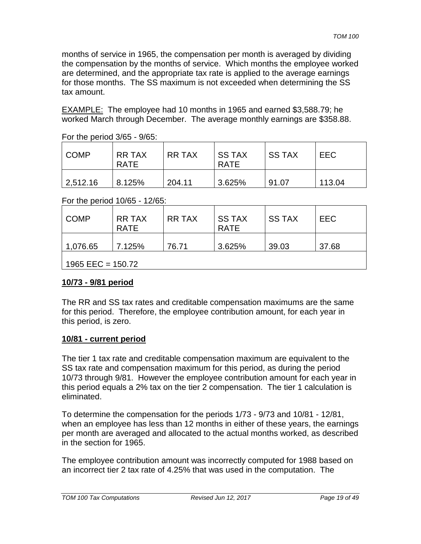months of service in 1965, the compensation per month is averaged by dividing the compensation by the months of service. Which months the employee worked are determined, and the appropriate tax rate is applied to the average earnings for those months. The SS maximum is not exceeded when determining the SS tax amount.

EXAMPLE: The employee had 10 months in 1965 and earned \$3,588.79; he worked March through December. The average monthly earnings are \$358.88.

| <b>COMP</b> | <b>RR TAX</b><br><b>RATE</b> | <b>RR TAX</b> | I SS TAX<br><b>RATE</b> | <b>SS TAX</b> | <b>EEC</b> |
|-------------|------------------------------|---------------|-------------------------|---------------|------------|
| 2,512.16    | 8.125%                       | 204.11        | 3.625%                  | 91.07         | 113.04     |

For the period 10/65 - 12/65:

| <b>COMP</b>         | <b>RR TAX</b><br><b>RATE</b> | RR TAX | <b>SS TAX</b><br><b>RATE</b> | I SS TAX | <b>EEC</b> |  |  |  |
|---------------------|------------------------------|--------|------------------------------|----------|------------|--|--|--|
| 1,076.65            | 7.125%                       | 76.71  | 3.625%                       | 39.03    | 37.68      |  |  |  |
| 1965 EEC = $150.72$ |                              |        |                              |          |            |  |  |  |

### **10/73 - 9/81 period**

The RR and SS tax rates and creditable compensation maximums are the same for this period. Therefore, the employee contribution amount, for each year in this period, is zero.

### **10/81 - current period**

The tier 1 tax rate and creditable compensation maximum are equivalent to the SS tax rate and compensation maximum for this period, as during the period 10/73 through 9/81. However the employee contribution amount for each year in this period equals a 2% tax on the tier 2 compensation. The tier 1 calculation is eliminated.

To determine the compensation for the periods 1/73 - 9/73 and 10/81 - 12/81, when an employee has less than 12 months in either of these years, the earnings per month are averaged and allocated to the actual months worked, as described in the section for 1965.

The employee contribution amount was incorrectly computed for 1988 based on an incorrect tier 2 tax rate of 4.25% that was used in the computation. The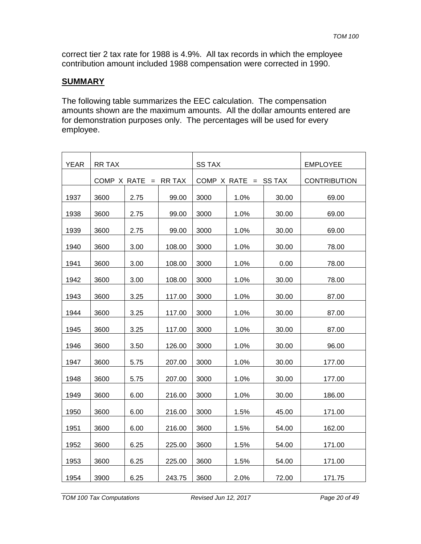correct tier 2 tax rate for 1988 is 4.9%. All tax records in which the employee contribution amount included 1988 compensation were corrected in 1990.

#### **SUMMARY**

The following table summarizes the EEC calculation. The compensation amounts shown are the maximum amounts. All the dollar amounts entered are for demonstration purposes only. The percentages will be used for every employee.

| <b>YEAR</b> | <b>RR TAX</b> |                   |               | <b>SS TAX</b> |                        |                     | <b>EMPLOYEE</b> |
|-------------|---------------|-------------------|---------------|---------------|------------------------|---------------------|-----------------|
|             |               | COMP $X$ RATE $=$ | <b>RR TAX</b> |               | COMP X RATE $=$ SS TAX | <b>CONTRIBUTION</b> |                 |
| 1937        | 3600          | 2.75              | 99.00         | 3000          | 1.0%                   | 30.00               | 69.00           |
| 1938        | 3600          | 2.75              | 99.00         | 3000          | 1.0%                   | 30.00               | 69.00           |
| 1939        | 3600          | 2.75              | 99.00         | 3000          | 1.0%                   | 30.00               | 69.00           |
| 1940        | 3600          | 3.00              | 108.00        | 3000          | 1.0%                   | 30.00               | 78.00           |
| 1941        | 3600          | 3.00              | 108.00        | 3000          | 1.0%                   | 0.00                | 78.00           |
| 1942        | 3600          | 3.00              | 108.00        | 3000          | 1.0%                   | 30.00               | 78.00           |
| 1943        | 3600          | 3.25              | 117.00        | 3000          | 1.0%                   | 30.00               | 87.00           |
| 1944        | 3600          | 3.25              | 117.00        | 3000          | 1.0%                   | 30.00               | 87.00           |
| 1945        | 3600          | 3.25              | 117.00        | 3000          | 1.0%                   | 30.00               | 87.00           |
| 1946        | 3600          | 3.50              | 126.00        | 3000          | 1.0%                   | 30.00               | 96.00           |
| 1947        | 3600          | 5.75              | 207.00        | 3000          | 1.0%                   | 30.00               | 177.00          |
| 1948        | 3600          | 5.75              | 207.00        | 3000          | 1.0%                   | 30.00               | 177.00          |
| 1949        | 3600          | 6.00              | 216.00        | 3000          | 1.0%                   | 30.00               | 186.00          |
| 1950        | 3600          | 6.00              | 216.00        | 3000          | 1.5%                   | 45.00               | 171.00          |
| 1951        | 3600          | 6.00              | 216.00        | 3600          | 1.5%                   | 54.00               | 162.00          |
| 1952        | 3600          | 6.25              | 225.00        | 3600          | 1.5%                   | 54.00               | 171.00          |
| 1953        | 3600          | 6.25              | 225.00        | 3600          | 1.5%                   | 54.00               | 171.00          |
| 1954        | 3900          | 6.25              | 243.75        | 3600          | 2.0%                   | 72.00               | 171.75          |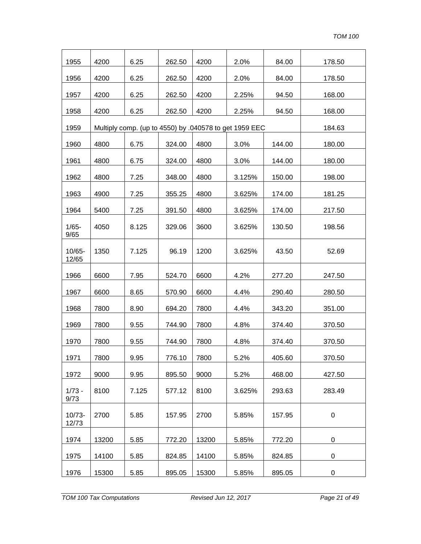| 1955               | 4200  | 6.25  | 262.50 | 4200  | 2.0%                                                   | 84.00  | 178.50           |
|--------------------|-------|-------|--------|-------|--------------------------------------------------------|--------|------------------|
| 1956               | 4200  | 6.25  | 262.50 | 4200  | 2.0%                                                   | 84.00  | 178.50           |
| 1957               | 4200  | 6.25  | 262.50 | 4200  | 2.25%                                                  | 94.50  | 168.00           |
| 1958               | 4200  | 6.25  | 262.50 | 4200  | 2.25%                                                  | 94.50  | 168.00           |
| 1959               |       |       |        |       | Multiply comp. (up to 4550) by .040578 to get 1959 EEC |        | 184.63           |
| 1960               | 4800  | 6.75  | 324.00 | 4800  | 3.0%                                                   | 144.00 | 180.00           |
| 1961               | 4800  | 6.75  | 324.00 | 4800  | 3.0%                                                   | 144.00 | 180.00           |
| 1962               | 4800  | 7.25  | 348.00 | 4800  | 3.125%                                                 | 150.00 | 198.00           |
| 1963               | 4900  | 7.25  | 355.25 | 4800  | 3.625%                                                 | 174.00 | 181.25           |
| 1964               | 5400  | 7.25  | 391.50 | 4800  | 3.625%                                                 | 174.00 | 217.50           |
| $1/65 -$<br>9/65   | 4050  | 8.125 | 329.06 | 3600  | 3.625%                                                 | 130.50 | 198.56           |
| 10/65-<br>12/65    | 1350  | 7.125 | 96.19  | 1200  | 3.625%                                                 | 43.50  | 52.69            |
| 1966               | 6600  | 7.95  | 524.70 | 6600  | 4.2%                                                   | 277.20 | 247.50           |
| 1967               | 6600  | 8.65  | 570.90 | 6600  | 4.4%                                                   | 290.40 | 280.50           |
| 1968               | 7800  | 8.90  | 694.20 | 7800  | 4.4%                                                   | 343.20 | 351.00           |
| 1969               | 7800  | 9.55  | 744.90 | 7800  | 4.8%                                                   | 374.40 | 370.50           |
| 1970               | 7800  | 9.55  | 744.90 | 7800  | 4.8%                                                   | 374.40 | 370.50           |
| 1971               | 7800  | 9.95  | 776.10 | 7800  | 5.2%                                                   | 405.60 | 370.50           |
| 1972               | 9000  | 9.95  | 895.50 | 9000  | 5.2%                                                   | 468.00 | 427.50           |
| $1/73 -$<br>9/73   | 8100  | 7.125 | 577.12 | 8100  | 3.625%                                                 | 293.63 | 283.49           |
| $10/73 -$<br>12/73 | 2700  | 5.85  | 157.95 | 2700  | 5.85%                                                  | 157.95 | $\boldsymbol{0}$ |
| 1974               | 13200 | 5.85  | 772.20 | 13200 | 5.85%                                                  | 772.20 | 0                |
| 1975               | 14100 | 5.85  | 824.85 | 14100 | 5.85%                                                  | 824.85 | 0                |
| 1976               | 15300 | 5.85  | 895.05 | 15300 | 5.85%                                                  | 895.05 | 0                |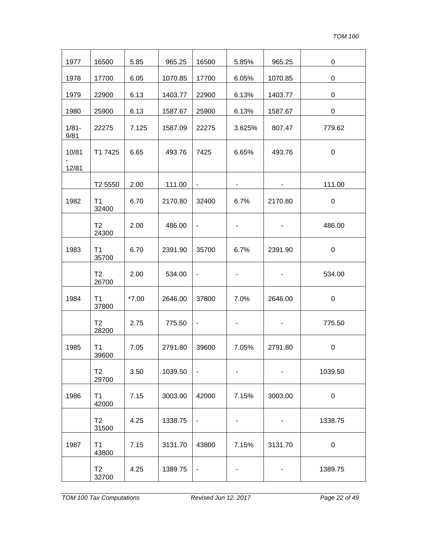| 1977             | 16500                   | 5.85    | 965.25  | 16500                    | 5.85%  | 965.25  | $\boldsymbol{0}$ |
|------------------|-------------------------|---------|---------|--------------------------|--------|---------|------------------|
| 1978             | 17700                   | 6.05    | 1070.85 | 17700                    | 6.05%  | 1070.85 | $\pmb{0}$        |
| 1979             | 22900                   | 6.13    | 1403.77 | 22900                    | 6.13%  | 1403.77 | $\pmb{0}$        |
| 1980             | 25900                   | 6.13    | 1587.67 | 25900                    | 6.13%  | 1587.67 | $\mathbf 0$      |
| $1/81 -$<br>9/81 | 22275                   | 7.125   | 1587.09 | 22275                    | 3.625% | 807.47  | 779.62           |
| 10/81<br>12/81   | T1 7425                 | 6.65    | 493.76  | 7425                     | 6.65%  | 493.76  | $\mathbf 0$      |
|                  | T2 5550                 | 2.00    | 111.00  | $\blacksquare$           |        |         | 111.00           |
| 1982             | T <sub>1</sub><br>32400 | 6.70    | 2170.80 | 32400                    | 6.7%   | 2170.80 | $\boldsymbol{0}$ |
|                  | T <sub>2</sub><br>24300 | 2.00    | 486.00  | $\blacksquare$           |        |         | 486.00           |
| 1983             | T1<br>35700             | 6.70    | 2391.90 | 35700                    | 6.7%   | 2391.90 | $\boldsymbol{0}$ |
|                  | T <sub>2</sub><br>26700 | 2.00    | 534.00  | $\blacksquare$           |        |         | 534.00           |
| 1984             | T <sub>1</sub><br>37800 | $*7.00$ | 2646.00 | 37800                    | 7.0%   | 2646.00 | $\mathbf 0$      |
|                  | T <sub>2</sub><br>28200 | 2.75    | 775.50  | $\blacksquare$           |        |         | 775.50           |
| 1985             | T1<br>39600             | 7.05    | 2791.80 | 39600                    | 7.05%  | 2791.80 | $\boldsymbol{0}$ |
|                  | T <sub>2</sub><br>29700 | 3.50    | 1039.50 | $\overline{\phantom{a}}$ |        |         | 1039.50          |
| 1986             | T1<br>42000             | 7.15    | 3003.00 | 42000                    | 7.15%  | 3003.00 | 0                |
|                  | T2<br>31500             | 4.25    | 1338.75 |                          |        |         | 1338.75          |
| 1987             | T1<br>43800             | 7.15    | 3131.70 | 43800                    | 7.15%  | 3131.70 | $\mathbf 0$      |
|                  | T2<br>32700             | 4.25    | 1389.75 |                          |        |         | 1389.75          |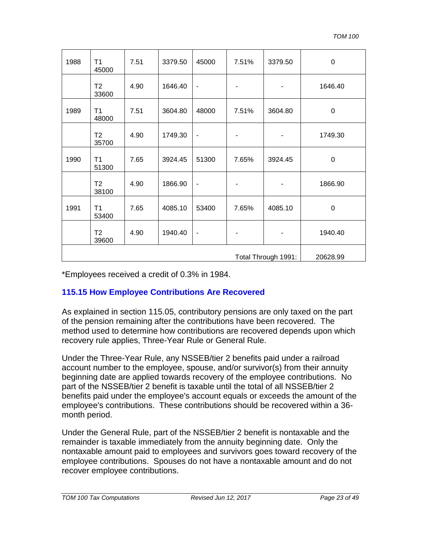| 1988                | T1<br>45000             | 7.51 | 3379.50 | 45000                    | 7.51%    | 3379.50 | $\mathbf 0$ |
|---------------------|-------------------------|------|---------|--------------------------|----------|---------|-------------|
|                     | T <sub>2</sub><br>33600 | 4.90 | 1646.40 | $\overline{\phantom{a}}$ |          |         | 1646.40     |
| 1989                | T1<br>48000             | 7.51 | 3604.80 | 48000                    | 7.51%    | 3604.80 | $\pmb{0}$   |
|                     | T <sub>2</sub><br>35700 | 4.90 | 1749.30 | $\overline{\phantom{a}}$ |          |         | 1749.30     |
| 1990                | T1<br>51300             | 7.65 | 3924.45 | 51300                    | 7.65%    | 3924.45 | $\mathbf 0$ |
|                     | T <sub>2</sub><br>38100 | 4.90 | 1866.90 | $\overline{\phantom{a}}$ |          |         | 1866.90     |
| 1991                | T1<br>53400             | 7.65 | 4085.10 | 53400                    | 7.65%    | 4085.10 | $\pmb{0}$   |
|                     | T <sub>2</sub><br>39600 | 4.90 | 1940.40 | $\blacksquare$           |          |         | 1940.40     |
| Total Through 1991: |                         |      |         |                          | 20628.99 |         |             |

\*Employees received a credit of 0.3% in 1984.

### **115.15 How Employee Contributions Are Recovered**

As explained in section 115.05, contributory pensions are only taxed on the part of the pension remaining after the contributions have been recovered. The method used to determine how contributions are recovered depends upon which recovery rule applies, Three-Year Rule or General Rule.

Under the Three-Year Rule, any NSSEB/tier 2 benefits paid under a railroad account number to the employee, spouse, and/or survivor(s) from their annuity beginning date are applied towards recovery of the employee contributions. No part of the NSSEB/tier 2 benefit is taxable until the total of all NSSEB/tier 2 benefits paid under the employee's account equals or exceeds the amount of the employee's contributions. These contributions should be recovered within a 36 month period.

Under the General Rule, part of the NSSEB/tier 2 benefit is nontaxable and the remainder is taxable immediately from the annuity beginning date. Only the nontaxable amount paid to employees and survivors goes toward recovery of the employee contributions. Spouses do not have a nontaxable amount and do not recover employee contributions.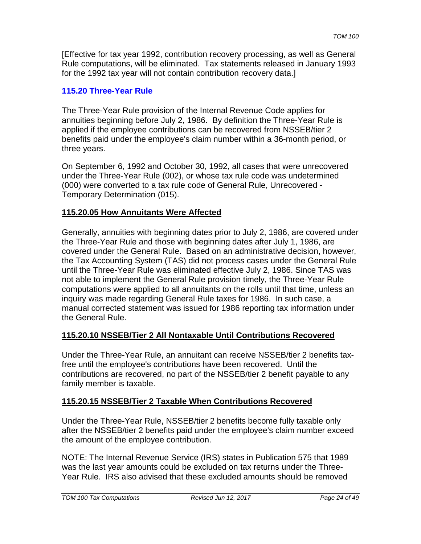[Effective for tax year 1992, contribution recovery processing, as well as General Rule computations, will be eliminated. Tax statements released in January 1993 for the 1992 tax year will not contain contribution recovery data.]

### **115.20 Three-Year Rule**

The Three-Year Rule provision of the Internal Revenue Code applies for annuities beginning before July 2, 1986. By definition the Three-Year Rule is applied if the employee contributions can be recovered from NSSEB/tier 2 benefits paid under the employee's claim number within a 36-month period, or three years.

On September 6, 1992 and October 30, 1992, all cases that were unrecovered under the Three-Year Rule (002), or whose tax rule code was undetermined (000) were converted to a tax rule code of General Rule, Unrecovered - Temporary Determination (015).

### **115.20.05 How Annuitants Were Affected**

Generally, annuities with beginning dates prior to July 2, 1986, are covered under the Three-Year Rule and those with beginning dates after July 1, 1986, are covered under the General Rule. Based on an administrative decision, however, the Tax Accounting System (TAS) did not process cases under the General Rule until the Three-Year Rule was eliminated effective July 2, 1986. Since TAS was not able to implement the General Rule provision timely, the Three-Year Rule computations were applied to all annuitants on the rolls until that time, unless an inquiry was made regarding General Rule taxes for 1986. In such case, a manual corrected statement was issued for 1986 reporting tax information under the General Rule.

### **115.20.10 NSSEB/Tier 2 All Nontaxable Until Contributions Recovered**

Under the Three-Year Rule, an annuitant can receive NSSEB/tier 2 benefits taxfree until the employee's contributions have been recovered. Until the contributions are recovered, no part of the NSSEB/tier 2 benefit payable to any family member is taxable.

### **115.20.15 NSSEB/Tier 2 Taxable When Contributions Recovered**

Under the Three-Year Rule, NSSEB/tier 2 benefits become fully taxable only after the NSSEB/tier 2 benefits paid under the employee's claim number exceed the amount of the employee contribution.

NOTE: The Internal Revenue Service (IRS) states in Publication 575 that 1989 was the last year amounts could be excluded on tax returns under the Three-Year Rule. IRS also advised that these excluded amounts should be removed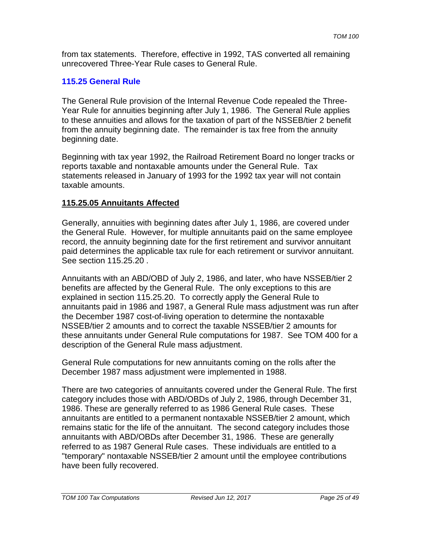from tax statements. Therefore, effective in 1992, TAS converted all remaining unrecovered Three-Year Rule cases to General Rule.

### **115.25 General Rule**

The General Rule provision of the Internal Revenue Code repealed the Three-Year Rule for annuities beginning after July 1, 1986. The General Rule applies to these annuities and allows for the taxation of part of the NSSEB/tier 2 benefit from the annuity beginning date. The remainder is tax free from the annuity beginning date.

Beginning with tax year 1992, the Railroad Retirement Board no longer tracks or reports taxable and nontaxable amounts under the General Rule. Tax statements released in January of 1993 for the 1992 tax year will not contain taxable amounts.

### **115.25.05 Annuitants Affected**

Generally, annuities with beginning dates after July 1, 1986, are covered under the General Rule. However, for multiple annuitants paid on the same employee record, the annuity beginning date for the first retirement and survivor annuitant paid determines the applicable tax rule for each retirement or survivor annuitant. See section 115.25.20 .

Annuitants with an ABD/OBD of July 2, 1986, and later, who have NSSEB/tier 2 benefits are affected by the General Rule. The only exceptions to this are explained in section 115.25.20. To correctly apply the General Rule to annuitants paid in 1986 and 1987, a General Rule mass adjustment was run after the December 1987 cost-of-living operation to determine the nontaxable NSSEB/tier 2 amounts and to correct the taxable NSSEB/tier 2 amounts for these annuitants under General Rule computations for 1987. See TOM 400 for a description of the General Rule mass adjustment.

General Rule computations for new annuitants coming on the rolls after the December 1987 mass adjustment were implemented in 1988.

There are two categories of annuitants covered under the General Rule. The first category includes those with ABD/OBDs of July 2, 1986, through December 31, 1986. These are generally referred to as 1986 General Rule cases. These annuitants are entitled to a permanent nontaxable NSSEB/tier 2 amount, which remains static for the life of the annuitant. The second category includes those annuitants with ABD/OBDs after December 31, 1986. These are generally referred to as 1987 General Rule cases. These individuals are entitled to a "temporary" nontaxable NSSEB/tier 2 amount until the employee contributions have been fully recovered.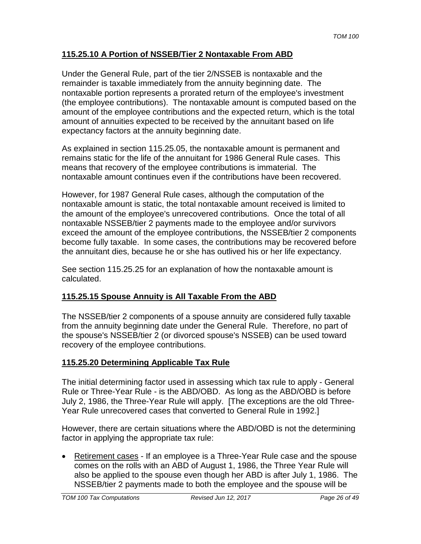# **115.25.10 A Portion of NSSEB/Tier 2 Nontaxable From ABD**

Under the General Rule, part of the tier 2/NSSEB is nontaxable and the remainder is taxable immediately from the annuity beginning date. The nontaxable portion represents a prorated return of the employee's investment (the employee contributions). The nontaxable amount is computed based on the amount of the employee contributions and the expected return, which is the total amount of annuities expected to be received by the annuitant based on life expectancy factors at the annuity beginning date.

As explained in section 115.25.05, the nontaxable amount is permanent and remains static for the life of the annuitant for 1986 General Rule cases. This means that recovery of the employee contributions is immaterial. The nontaxable amount continues even if the contributions have been recovered.

However, for 1987 General Rule cases, although the computation of the nontaxable amount is static, the total nontaxable amount received is limited to the amount of the employee's unrecovered contributions. Once the total of all nontaxable NSSEB/tier 2 payments made to the employee and/or survivors exceed the amount of the employee contributions, the NSSEB/tier 2 components become fully taxable. In some cases, the contributions may be recovered before the annuitant dies, because he or she has outlived his or her life expectancy.

See section 115.25.25 for an explanation of how the nontaxable amount is calculated.

# **115.25.15 Spouse Annuity is All Taxable From the ABD**

The NSSEB/tier 2 components of a spouse annuity are considered fully taxable from the annuity beginning date under the General Rule. Therefore, no part of the spouse's NSSEB/tier 2 (or divorced spouse's NSSEB) can be used toward recovery of the employee contributions.

### **115.25.20 Determining Applicable Tax Rule**

The initial determining factor used in assessing which tax rule to apply - General Rule or Three-Year Rule - is the ABD/OBD. As long as the ABD/OBD is before July 2, 1986, the Three-Year Rule will apply. [The exceptions are the old Three-Year Rule unrecovered cases that converted to General Rule in 1992.]

However, there are certain situations where the ABD/OBD is not the determining factor in applying the appropriate tax rule:

• Retirement cases - If an employee is a Three-Year Rule case and the spouse comes on the rolls with an ABD of August 1, 1986, the Three Year Rule will also be applied to the spouse even though her ABD is after July 1, 1986. The NSSEB/tier 2 payments made to both the employee and the spouse will be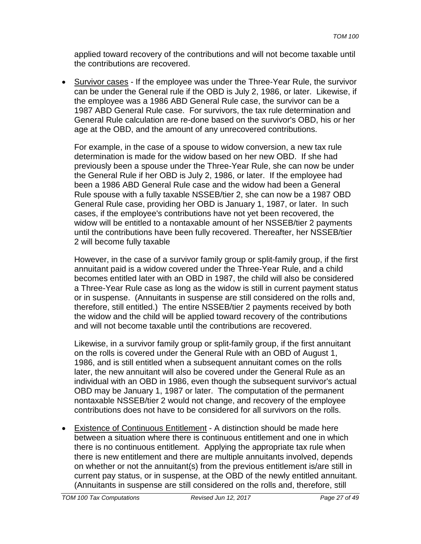applied toward recovery of the contributions and will not become taxable until the contributions are recovered.

• Survivor cases - If the employee was under the Three-Year Rule, the survivor can be under the General rule if the OBD is July 2, 1986, or later. Likewise, if the employee was a 1986 ABD General Rule case, the survivor can be a 1987 ABD General Rule case. For survivors, the tax rule determination and General Rule calculation are re-done based on the survivor's OBD, his or her age at the OBD, and the amount of any unrecovered contributions.

For example, in the case of a spouse to widow conversion, a new tax rule determination is made for the widow based on her new OBD. If she had previously been a spouse under the Three-Year Rule, she can now be under the General Rule if her OBD is July 2, 1986, or later. If the employee had been a 1986 ABD General Rule case and the widow had been a General Rule spouse with a fully taxable NSSEB/tier 2, she can now be a 1987 OBD General Rule case, providing her OBD is January 1, 1987, or later. In such cases, if the employee's contributions have not yet been recovered, the widow will be entitled to a nontaxable amount of her NSSEB/tier 2 payments until the contributions have been fully recovered. Thereafter, her NSSEB/tier 2 will become fully taxable

However, in the case of a survivor family group or split-family group, if the first annuitant paid is a widow covered under the Three-Year Rule, and a child becomes entitled later with an OBD in 1987, the child will also be considered a Three-Year Rule case as long as the widow is still in current payment status or in suspense. (Annuitants in suspense are still considered on the rolls and, therefore, still entitled.) The entire NSSEB/tier 2 payments received by both the widow and the child will be applied toward recovery of the contributions and will not become taxable until the contributions are recovered.

Likewise, in a survivor family group or split-family group, if the first annuitant on the rolls is covered under the General Rule with an OBD of August 1, 1986, and is still entitled when a subsequent annuitant comes on the rolls later, the new annuitant will also be covered under the General Rule as an individual with an OBD in 1986, even though the subsequent survivor's actual OBD may be January 1, 1987 or later. The computation of the permanent nontaxable NSSEB/tier 2 would not change, and recovery of the employee contributions does not have to be considered for all survivors on the rolls.

• Existence of Continuous Entitlement - A distinction should be made here between a situation where there is continuous entitlement and one in which there is no continuous entitlement. Applying the appropriate tax rule when there is new entitlement and there are multiple annuitants involved, depends on whether or not the annuitant(s) from the previous entitlement is/are still in current pay status, or in suspense, at the OBD of the newly entitled annuitant. (Annuitants in suspense are still considered on the rolls and, therefore, still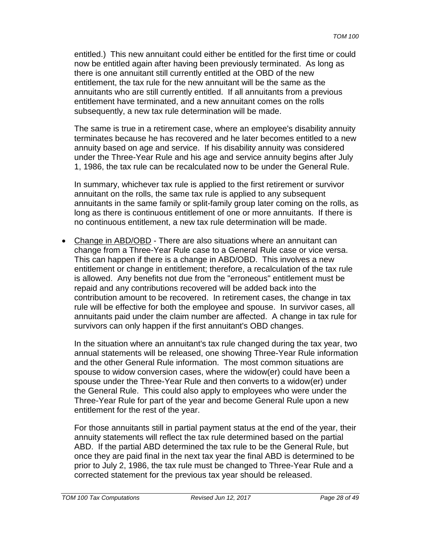entitled.) This new annuitant could either be entitled for the first time or could now be entitled again after having been previously terminated. As long as there is one annuitant still currently entitled at the OBD of the new entitlement, the tax rule for the new annuitant will be the same as the annuitants who are still currently entitled. If all annuitants from a previous entitlement have terminated, and a new annuitant comes on the rolls subsequently, a new tax rule determination will be made.

The same is true in a retirement case, where an employee's disability annuity terminates because he has recovered and he later becomes entitled to a new annuity based on age and service. If his disability annuity was considered under the Three-Year Rule and his age and service annuity begins after July 1, 1986, the tax rule can be recalculated now to be under the General Rule.

In summary, whichever tax rule is applied to the first retirement or survivor annuitant on the rolls, the same tax rule is applied to any subsequent annuitants in the same family or split-family group later coming on the rolls, as long as there is continuous entitlement of one or more annuitants. If there is no continuous entitlement, a new tax rule determination will be made.

• Change in ABD/OBD - There are also situations where an annuitant can change from a Three-Year Rule case to a General Rule case or vice versa. This can happen if there is a change in ABD/OBD. This involves a new entitlement or change in entitlement; therefore, a recalculation of the tax rule is allowed. Any benefits not due from the "erroneous" entitlement must be repaid and any contributions recovered will be added back into the contribution amount to be recovered. In retirement cases, the change in tax rule will be effective for both the employee and spouse. In survivor cases, all annuitants paid under the claim number are affected. A change in tax rule for survivors can only happen if the first annuitant's OBD changes.

In the situation where an annuitant's tax rule changed during the tax year, two annual statements will be released, one showing Three-Year Rule information and the other General Rule information. The most common situations are spouse to widow conversion cases, where the widow(er) could have been a spouse under the Three-Year Rule and then converts to a widow(er) under the General Rule. This could also apply to employees who were under the Three-Year Rule for part of the year and become General Rule upon a new entitlement for the rest of the year.

For those annuitants still in partial payment status at the end of the year, their annuity statements will reflect the tax rule determined based on the partial ABD. If the partial ABD determined the tax rule to be the General Rule, but once they are paid final in the next tax year the final ABD is determined to be prior to July 2, 1986, the tax rule must be changed to Three-Year Rule and a corrected statement for the previous tax year should be released.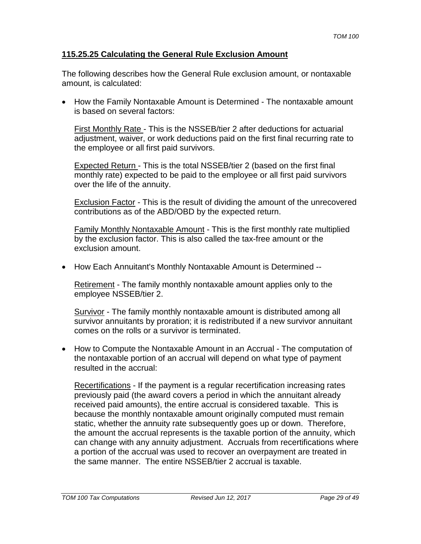### **115.25.25 Calculating the General Rule Exclusion Amount**

The following describes how the General Rule exclusion amount, or nontaxable amount, is calculated:

• How the Family Nontaxable Amount is Determined - The nontaxable amount is based on several factors:

First Monthly Rate - This is the NSSEB/tier 2 after deductions for actuarial adjustment, waiver, or work deductions paid on the first final recurring rate to the employee or all first paid survivors.

Expected Return - This is the total NSSEB/tier 2 (based on the first final monthly rate) expected to be paid to the employee or all first paid survivors over the life of the annuity.

Exclusion Factor - This is the result of dividing the amount of the unrecovered contributions as of the ABD/OBD by the expected return.

Family Monthly Nontaxable Amount - This is the first monthly rate multiplied by the exclusion factor. This is also called the tax-free amount or the exclusion amount.

• How Each Annuitant's Monthly Nontaxable Amount is Determined --

Retirement - The family monthly nontaxable amount applies only to the employee NSSEB/tier 2.

Survivor - The family monthly nontaxable amount is distributed among all survivor annuitants by proration; it is redistributed if a new survivor annuitant comes on the rolls or a survivor is terminated.

• How to Compute the Nontaxable Amount in an Accrual - The computation of the nontaxable portion of an accrual will depend on what type of payment resulted in the accrual:

Recertifications - If the payment is a regular recertification increasing rates previously paid (the award covers a period in which the annuitant already received paid amounts), the entire accrual is considered taxable. This is because the monthly nontaxable amount originally computed must remain static, whether the annuity rate subsequently goes up or down. Therefore, the amount the accrual represents is the taxable portion of the annuity, which can change with any annuity adjustment. Accruals from recertifications where a portion of the accrual was used to recover an overpayment are treated in the same manner. The entire NSSEB/tier 2 accrual is taxable.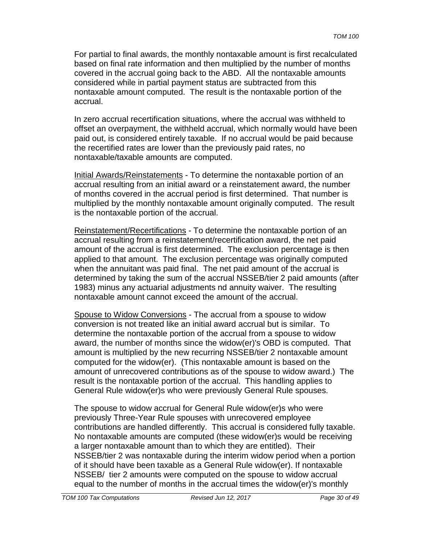For partial to final awards, the monthly nontaxable amount is first recalculated based on final rate information and then multiplied by the number of months covered in the accrual going back to the ABD. All the nontaxable amounts considered while in partial payment status are subtracted from this nontaxable amount computed. The result is the nontaxable portion of the accrual.

In zero accrual recertification situations, where the accrual was withheld to offset an overpayment, the withheld accrual, which normally would have been paid out, is considered entirely taxable. If no accrual would be paid because the recertified rates are lower than the previously paid rates, no nontaxable/taxable amounts are computed.

Initial Awards/Reinstatements - To determine the nontaxable portion of an accrual resulting from an initial award or a reinstatement award, the number of months covered in the accrual period is first determined. That number is multiplied by the monthly nontaxable amount originally computed. The result is the nontaxable portion of the accrual.

Reinstatement/Recertifications - To determine the nontaxable portion of an accrual resulting from a reinstatement/recertification award, the net paid amount of the accrual is first determined. The exclusion percentage is then applied to that amount. The exclusion percentage was originally computed when the annuitant was paid final. The net paid amount of the accrual is determined by taking the sum of the accrual NSSEB/tier 2 paid amounts (after 1983) minus any actuarial adjustments nd annuity waiver. The resulting nontaxable amount cannot exceed the amount of the accrual.

Spouse to Widow Conversions - The accrual from a spouse to widow conversion is not treated like an initial award accrual but is similar. To determine the nontaxable portion of the accrual from a spouse to widow award, the number of months since the widow(er)'s OBD is computed. That amount is multiplied by the new recurring NSSEB/tier 2 nontaxable amount computed for the widow(er). (This nontaxable amount is based on the amount of unrecovered contributions as of the spouse to widow award.) The result is the nontaxable portion of the accrual. This handling applies to General Rule widow(er)s who were previously General Rule spouses.

The spouse to widow accrual for General Rule widow(er)s who were previously Three-Year Rule spouses with unrecovered employee contributions are handled differently. This accrual is considered fully taxable. No nontaxable amounts are computed (these widow(er)s would be receiving a larger nontaxable amount than to which they are entitled). Their NSSEB/tier 2 was nontaxable during the interim widow period when a portion of it should have been taxable as a General Rule widow(er). If nontaxable NSSEB/ tier 2 amounts were computed on the spouse to widow accrual equal to the number of months in the accrual times the widow(er)'s monthly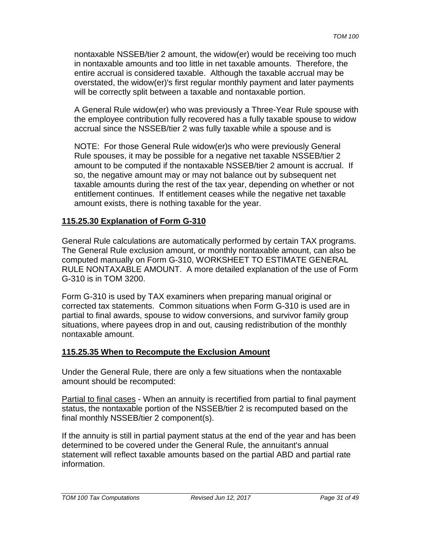nontaxable NSSEB/tier 2 amount, the widow(er) would be receiving too much in nontaxable amounts and too little in net taxable amounts. Therefore, the entire accrual is considered taxable. Although the taxable accrual may be overstated, the widow(er)'s first regular monthly payment and later payments will be correctly split between a taxable and nontaxable portion.

A General Rule widow(er) who was previously a Three-Year Rule spouse with the employee contribution fully recovered has a fully taxable spouse to widow accrual since the NSSEB/tier 2 was fully taxable while a spouse and is

NOTE: For those General Rule widow(er)s who were previously General Rule spouses, it may be possible for a negative net taxable NSSEB/tier 2 amount to be computed if the nontaxable NSSEB/tier 2 amount is accrual. If so, the negative amount may or may not balance out by subsequent net taxable amounts during the rest of the tax year, depending on whether or not entitlement continues. If entitlement ceases while the negative net taxable amount exists, there is nothing taxable for the year.

### **115.25.30 Explanation of Form G-310**

General Rule calculations are automatically performed by certain TAX programs. The General Rule exclusion amount, or monthly nontaxable amount, can also be computed manually on Form G-310, WORKSHEET TO ESTIMATE GENERAL RULE NONTAXABLE AMOUNT. A more detailed explanation of the use of Form G-310 is in TOM 3200.

Form G-310 is used by TAX examiners when preparing manual original or corrected tax statements. Common situations when Form G-310 is used are in partial to final awards, spouse to widow conversions, and survivor family group situations, where payees drop in and out, causing redistribution of the monthly nontaxable amount.

### **115.25.35 When to Recompute the Exclusion Amount**

Under the General Rule, there are only a few situations when the nontaxable amount should be recomputed:

Partial to final cases - When an annuity is recertified from partial to final payment status, the nontaxable portion of the NSSEB/tier 2 is recomputed based on the final monthly NSSEB/tier 2 component(s).

If the annuity is still in partial payment status at the end of the year and has been determined to be covered under the General Rule, the annuitant's annual statement will reflect taxable amounts based on the partial ABD and partial rate information.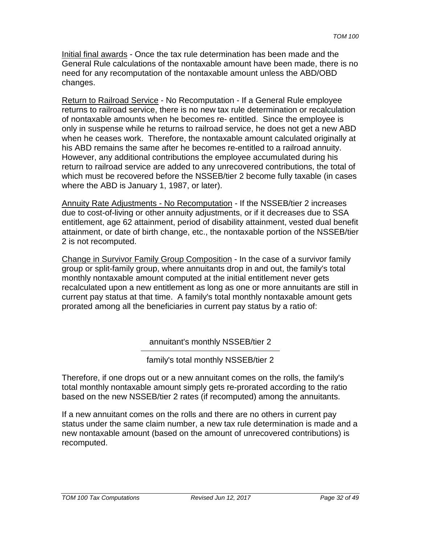Initial final awards - Once the tax rule determination has been made and the General Rule calculations of the nontaxable amount have been made, there is no need for any recomputation of the nontaxable amount unless the ABD/OBD changes.

Return to Railroad Service - No Recomputation - If a General Rule employee returns to railroad service, there is no new tax rule determination or recalculation of nontaxable amounts when he becomes re- entitled. Since the employee is only in suspense while he returns to railroad service, he does not get a new ABD when he ceases work. Therefore, the nontaxable amount calculated originally at his ABD remains the same after he becomes re-entitled to a railroad annuity. However, any additional contributions the employee accumulated during his return to railroad service are added to any unrecovered contributions, the total of which must be recovered before the NSSEB/tier 2 become fully taxable (in cases where the ABD is January 1, 1987, or later).

Annuity Rate Adjustments - No Recomputation - If the NSSEB/tier 2 increases due to cost-of-living or other annuity adjustments, or if it decreases due to SSA entitlement, age 62 attainment, period of disability attainment, vested dual benefit attainment, or date of birth change, etc., the nontaxable portion of the NSSEB/tier 2 is not recomputed.

Change in Survivor Family Group Composition - In the case of a survivor family group or split-family group, where annuitants drop in and out, the family's total monthly nontaxable amount computed at the initial entitlement never gets recalculated upon a new entitlement as long as one or more annuitants are still in current pay status at that time. A family's total monthly nontaxable amount gets prorated among all the beneficiaries in current pay status by a ratio of:

annuitant's monthly NSSEB/tier 2

family's total monthly NSSEB/tier 2

Therefore, if one drops out or a new annuitant comes on the rolls, the family's total monthly nontaxable amount simply gets re-prorated according to the ratio based on the new NSSEB/tier 2 rates (if recomputed) among the annuitants.

If a new annuitant comes on the rolls and there are no others in current pay status under the same claim number, a new tax rule determination is made and a new nontaxable amount (based on the amount of unrecovered contributions) is recomputed.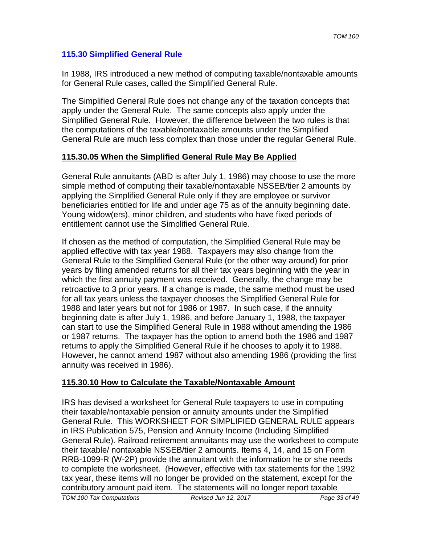### **115.30 Simplified General Rule**

In 1988, IRS introduced a new method of computing taxable/nontaxable amounts for General Rule cases, called the Simplified General Rule.

The Simplified General Rule does not change any of the taxation concepts that apply under the General Rule. The same concepts also apply under the Simplified General Rule. However, the difference between the two rules is that the computations of the taxable/nontaxable amounts under the Simplified General Rule are much less complex than those under the regular General Rule.

### **115.30.05 When the Simplified General Rule May Be Applied**

General Rule annuitants (ABD is after July 1, 1986) may choose to use the more simple method of computing their taxable/nontaxable NSSEB/tier 2 amounts by applying the Simplified General Rule only if they are employee or survivor beneficiaries entitled for life and under age 75 as of the annuity beginning date. Young widow(ers), minor children, and students who have fixed periods of entitlement cannot use the Simplified General Rule.

If chosen as the method of computation, the Simplified General Rule may be applied effective with tax year 1988. Taxpayers may also change from the General Rule to the Simplified General Rule (or the other way around) for prior years by filing amended returns for all their tax years beginning with the year in which the first annuity payment was received. Generally, the change may be retroactive to 3 prior years. If a change is made, the same method must be used for all tax years unless the taxpayer chooses the Simplified General Rule for 1988 and later years but not for 1986 or 1987. In such case, if the annuity beginning date is after July 1, 1986, and before January 1, 1988, the taxpayer can start to use the Simplified General Rule in 1988 without amending the 1986 or 1987 returns. The taxpayer has the option to amend both the 1986 and 1987 returns to apply the Simplified General Rule if he chooses to apply it to 1988. However, he cannot amend 1987 without also amending 1986 (providing the first annuity was received in 1986).

# **115.30.10 How to Calculate the Taxable/Nontaxable Amount**

IRS has devised a worksheet for General Rule taxpayers to use in computing their taxable/nontaxable pension or annuity amounts under the Simplified General Rule. This WORKSHEET FOR SIMPLIFIED GENERAL RULE appears in IRS Publication 575, Pension and Annuity Income (Including Simplified General Rule). Railroad retirement annuitants may use the worksheet to compute their taxable/ nontaxable NSSEB/tier 2 amounts. Items 4, 14, and 15 on Form RRB-1099-R (W-2P) provide the annuitant with the information he or she needs to complete the worksheet. (However, effective with tax statements for the 1992 tax year, these items will no longer be provided on the statement, except for the contributory amount paid item. The statements will no longer report taxable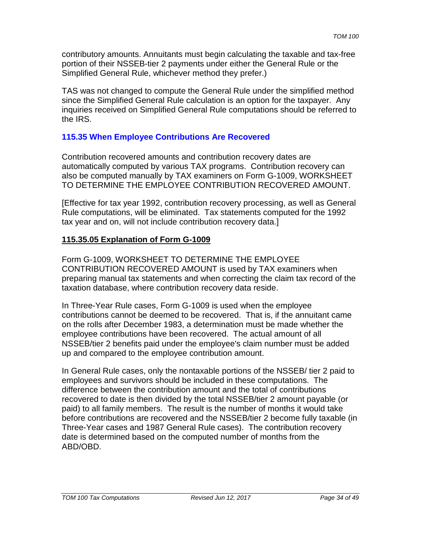contributory amounts. Annuitants must begin calculating the taxable and tax-free portion of their NSSEB-tier 2 payments under either the General Rule or the Simplified General Rule, whichever method they prefer.)

TAS was not changed to compute the General Rule under the simplified method since the Simplified General Rule calculation is an option for the taxpayer. Any inquiries received on Simplified General Rule computations should be referred to the IRS.

### **115.35 When Employee Contributions Are Recovered**

Contribution recovered amounts and contribution recovery dates are automatically computed by various TAX programs. Contribution recovery can also be computed manually by TAX examiners on Form G-1009, WORKSHEET TO DETERMINE THE EMPLOYEE CONTRIBUTION RECOVERED AMOUNT.

[Effective for tax year 1992, contribution recovery processing, as well as General Rule computations, will be eliminated. Tax statements computed for the 1992 tax year and on, will not include contribution recovery data.]

# **115.35.05 Explanation of Form G-1009**

Form G-1009, WORKSHEET TO DETERMINE THE EMPLOYEE CONTRIBUTION RECOVERED AMOUNT is used by TAX examiners when preparing manual tax statements and when correcting the claim tax record of the taxation database, where contribution recovery data reside.

In Three-Year Rule cases, Form G-1009 is used when the employee contributions cannot be deemed to be recovered. That is, if the annuitant came on the rolls after December 1983, a determination must be made whether the employee contributions have been recovered. The actual amount of all NSSEB/tier 2 benefits paid under the employee's claim number must be added up and compared to the employee contribution amount.

In General Rule cases, only the nontaxable portions of the NSSEB/ tier 2 paid to employees and survivors should be included in these computations. The difference between the contribution amount and the total of contributions recovered to date is then divided by the total NSSEB/tier 2 amount payable (or paid) to all family members. The result is the number of months it would take before contributions are recovered and the NSSEB/tier 2 become fully taxable (in Three-Year cases and 1987 General Rule cases). The contribution recovery date is determined based on the computed number of months from the ABD/OBD.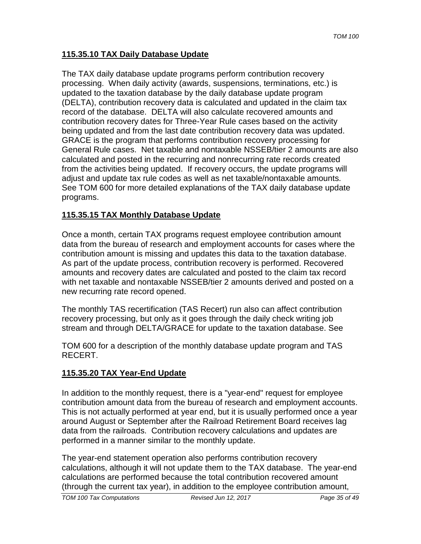### **115.35.10 TAX Daily Database Update**

The TAX daily database update programs perform contribution recovery processing. When daily activity (awards, suspensions, terminations, etc.) is updated to the taxation database by the daily database update program (DELTA), contribution recovery data is calculated and updated in the claim tax record of the database. DELTA will also calculate recovered amounts and contribution recovery dates for Three-Year Rule cases based on the activity being updated and from the last date contribution recovery data was updated. GRACE is the program that performs contribution recovery processing for General Rule cases. Net taxable and nontaxable NSSEB/tier 2 amounts are also calculated and posted in the recurring and nonrecurring rate records created from the activities being updated. If recovery occurs, the update programs will adjust and update tax rule codes as well as net taxable/nontaxable amounts. See TOM 600 for more detailed explanations of the TAX daily database update programs.

### **115.35.15 TAX Monthly Database Update**

Once a month, certain TAX programs request employee contribution amount data from the bureau of research and employment accounts for cases where the contribution amount is missing and updates this data to the taxation database. As part of the update process, contribution recovery is performed. Recovered amounts and recovery dates are calculated and posted to the claim tax record with net taxable and nontaxable NSSEB/tier 2 amounts derived and posted on a new recurring rate record opened.

The monthly TAS recertification (TAS Recert) run also can affect contribution recovery processing, but only as it goes through the daily check writing job stream and through DELTA/GRACE for update to the taxation database. See

TOM 600 for a description of the monthly database update program and TAS RECERT.

### **115.35.20 TAX Year-End Update**

In addition to the monthly request, there is a "year-end" request for employee contribution amount data from the bureau of research and employment accounts. This is not actually performed at year end, but it is usually performed once a year around August or September after the Railroad Retirement Board receives lag data from the railroads. Contribution recovery calculations and updates are performed in a manner similar to the monthly update.

The year-end statement operation also performs contribution recovery calculations, although it will not update them to the TAX database. The year-end calculations are performed because the total contribution recovered amount (through the current tax year), in addition to the employee contribution amount,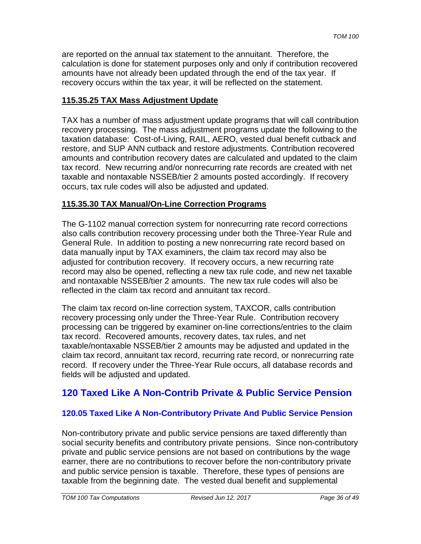are reported on the annual tax statement to the annuitant. Therefore, the calculation is done for statement purposes only and only if contribution recovered amounts have not already been updated through the end of the tax year. If recovery occurs within the tax year, it will be reflected on the statement.

### **115.35.25 TAX Mass Adjustment Update**

TAX has a number of mass adjustment update programs that will call contribution recovery processing. The mass adjustment programs update the following to the taxation database: Cost-of-Living, RAIL, AERO, vested dual benefit cutback and restore, and SUP ANN cutback and restore adjustments. Contribution recovered amounts and contribution recovery dates are calculated and updated to the claim tax record. New recurring and/or nonrecurring rate records are created with net taxable and nontaxable NSSEB/tier 2 amounts posted accordingly. If recovery occurs, tax rule codes will also be adjusted and updated.

### **115.35.30 TAX Manual/On-Line Correction Programs**

The G-1102 manual correction system for nonrecurring rate record corrections also calls contribution recovery processing under both the Three-Year Rule and General Rule. In addition to posting a new nonrecurring rate record based on data manually input by TAX examiners, the claim tax record may also be adjusted for contribution recovery. If recovery occurs, a new recurring rate record may also be opened, reflecting a new tax rule code, and new net taxable and nontaxable NSSEB/tier 2 amounts. The new tax rule codes will also be reflected in the claim tax record and annuitant tax record.

The claim tax record on-line correction system, TAXCOR, calls contribution recovery processing only under the Three-Year Rule. Contribution recovery processing can be triggered by examiner on-line corrections/entries to the claim tax record. Recovered amounts, recovery dates, tax rules, and net taxable/nontaxable NSSEB/tier 2 amounts may be adjusted and updated in the claim tax record, annuitant tax record, recurring rate record, or nonrecurring rate record. If recovery under the Three-Year Rule occurs, all database records and fields will be adjusted and updated.

# **120 Taxed Like A Non-Contrib Private & Public Service Pension**

# **120.05 Taxed Like A Non-Contributory Private And Public Service Pension**

Non-contributory private and public service pensions are taxed differently than social security benefits and contributory private pensions. Since non-contributory private and public service pensions are not based on contributions by the wage earner, there are no contributions to recover before the non-contributory private and public service pension is taxable. Therefore, these types of pensions are taxable from the beginning date. The vested dual benefit and supplemental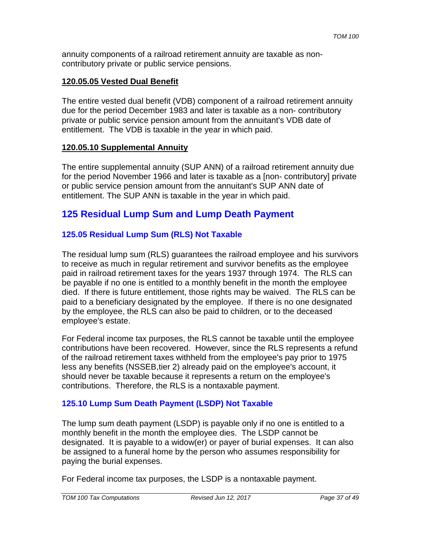annuity components of a railroad retirement annuity are taxable as noncontributory private or public service pensions.

### **120.05.05 Vested Dual Benefit**

The entire vested dual benefit (VDB) component of a railroad retirement annuity due for the period December 1983 and later is taxable as a non- contributory private or public service pension amount from the annuitant's VDB date of entitlement. The VDB is taxable in the year in which paid.

### **120.05.10 Supplemental Annuity**

The entire supplemental annuity (SUP ANN) of a railroad retirement annuity due for the period November 1966 and later is taxable as a [non- contributory] private or public service pension amount from the annuitant's SUP ANN date of entitlement. The SUP ANN is taxable in the year in which paid.

# **125 Residual Lump Sum and Lump Death Payment**

### **125.05 Residual Lump Sum (RLS) Not Taxable**

The residual lump sum (RLS) guarantees the railroad employee and his survivors to receive as much in regular retirement and survivor benefits as the employee paid in railroad retirement taxes for the years 1937 through 1974. The RLS can be payable if no one is entitled to a monthly benefit in the month the employee died. If there is future entitlement, those rights may be waived. The RLS can be paid to a beneficiary designated by the employee. If there is no one designated by the employee, the RLS can also be paid to children, or to the deceased employee's estate.

For Federal income tax purposes, the RLS cannot be taxable until the employee contributions have been recovered. However, since the RLS represents a refund of the railroad retirement taxes withheld from the employee's pay prior to 1975 less any benefits (NSSEB,tier 2) already paid on the employee's account, it should never be taxable because it represents a return on the employee's contributions. Therefore, the RLS is a nontaxable payment.

### **125.10 Lump Sum Death Payment (LSDP) Not Taxable**

The lump sum death payment (LSDP) is payable only if no one is entitled to a monthly benefit in the month the employee dies. The LSDP cannot be designated. It is payable to a widow(er) or payer of burial expenses. It can also be assigned to a funeral home by the person who assumes responsibility for paying the burial expenses.

For Federal income tax purposes, the LSDP is a nontaxable payment.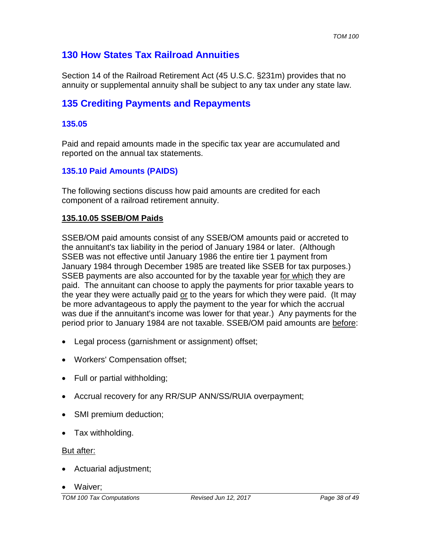# **130 How States Tax Railroad Annuities**

Section 14 of the Railroad Retirement Act (45 U.S.C. §231m) provides that no annuity or supplemental annuity shall be subject to any tax under any state law.

# **135 Crediting Payments and Repayments**

### **135.05**

Paid and repaid amounts made in the specific tax year are accumulated and reported on the annual tax statements.

### **135.10 Paid Amounts (PAIDS)**

The following sections discuss how paid amounts are credited for each component of a railroad retirement annuity.

### **135.10.05 SSEB/OM Paids**

SSEB/OM paid amounts consist of any SSEB/OM amounts paid or accreted to the annuitant's tax liability in the period of January 1984 or later. (Although SSEB was not effective until January 1986 the entire tier 1 payment from January 1984 through December 1985 are treated like SSEB for tax purposes.) SSEB payments are also accounted for by the taxable year for which they are paid. The annuitant can choose to apply the payments for prior taxable years to the year they were actually paid or to the years for which they were paid. (It may be more advantageous to apply the payment to the year for which the accrual was due if the annuitant's income was lower for that year.) Any payments for the period prior to January 1984 are not taxable. SSEB/OM paid amounts are before:

- Legal process (garnishment or assignment) offset;
- Workers' Compensation offset;
- Full or partial withholding;
- Accrual recovery for any RR/SUP ANN/SS/RUIA overpayment;
- SMI premium deduction;
- Tax withholding.

#### But after:

- Actuarial adjustment;
- Waiver;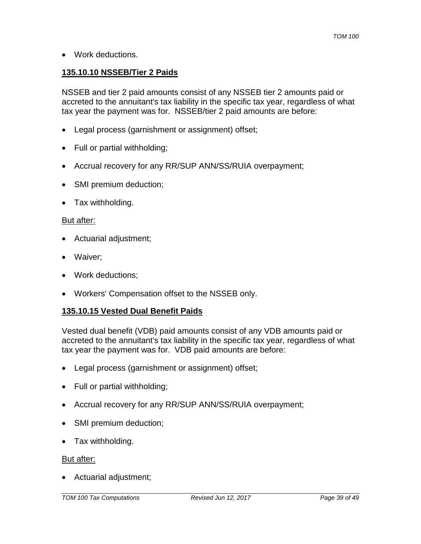• Work deductions.

### **135.10.10 NSSEB/Tier 2 Paids**

NSSEB and tier 2 paid amounts consist of any NSSEB tier 2 amounts paid or accreted to the annuitant's tax liability in the specific tax year, regardless of what tax year the payment was for. NSSEB/tier 2 paid amounts are before:

- Legal process (garnishment or assignment) offset;
- Full or partial withholding;
- Accrual recovery for any RR/SUP ANN/SS/RUIA overpayment;
- SMI premium deduction;
- Tax withholding.

#### But after:

- Actuarial adjustment;
- Waiver;
- Work deductions;
- Workers' Compensation offset to the NSSEB only.

#### **135.10.15 Vested Dual Benefit Paids**

Vested dual benefit (VDB) paid amounts consist of any VDB amounts paid or accreted to the annuitant's tax liability in the specific tax year, regardless of what tax year the payment was for. VDB paid amounts are before:

- Legal process (garnishment or assignment) offset;
- Full or partial withholding;
- Accrual recovery for any RR/SUP ANN/SS/RUIA overpayment;
- SMI premium deduction;
- Tax withholding.

#### But after:

• Actuarial adjustment;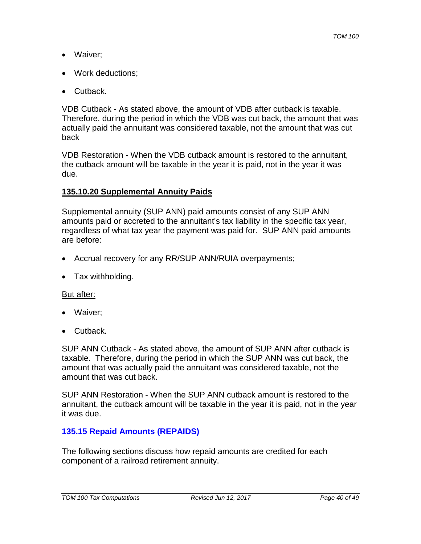- Waiver;
- Work deductions;
- Cutback.

VDB Cutback - As stated above, the amount of VDB after cutback is taxable. Therefore, during the period in which the VDB was cut back, the amount that was actually paid the annuitant was considered taxable, not the amount that was cut back

VDB Restoration - When the VDB cutback amount is restored to the annuitant, the cutback amount will be taxable in the year it is paid, not in the year it was due.

### **135.10.20 Supplemental Annuity Paids**

Supplemental annuity (SUP ANN) paid amounts consist of any SUP ANN amounts paid or accreted to the annuitant's tax liability in the specific tax year, regardless of what tax year the payment was paid for. SUP ANN paid amounts are before:

- Accrual recovery for any RR/SUP ANN/RUIA overpayments;
- Tax withholding.

### But after:

- Waiver;
- Cutback.

SUP ANN Cutback - As stated above, the amount of SUP ANN after cutback is taxable. Therefore, during the period in which the SUP ANN was cut back, the amount that was actually paid the annuitant was considered taxable, not the amount that was cut back.

SUP ANN Restoration - When the SUP ANN cutback amount is restored to the annuitant, the cutback amount will be taxable in the year it is paid, not in the year it was due.

### **135.15 Repaid Amounts (REPAIDS)**

The following sections discuss how repaid amounts are credited for each component of a railroad retirement annuity.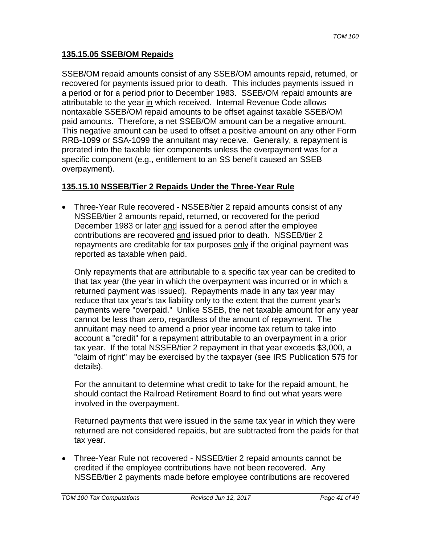### **135.15.05 SSEB/OM Repaids**

SSEB/OM repaid amounts consist of any SSEB/OM amounts repaid, returned, or recovered for payments issued prior to death. This includes payments issued in a period or for a period prior to December 1983. SSEB/OM repaid amounts are attributable to the year in which received. Internal Revenue Code allows nontaxable SSEB/OM repaid amounts to be offset against taxable SSEB/OM paid amounts. Therefore, a net SSEB/OM amount can be a negative amount. This negative amount can be used to offset a positive amount on any other Form RRB-1099 or SSA-1099 the annuitant may receive. Generally, a repayment is prorated into the taxable tier components unless the overpayment was for a specific component (e.g., entitlement to an SS benefit caused an SSEB overpayment).

### **135.15.10 NSSEB/Tier 2 Repaids Under the Three-Year Rule**

• Three-Year Rule recovered - NSSEB/tier 2 repaid amounts consist of any NSSEB/tier 2 amounts repaid, returned, or recovered for the period December 1983 or later and issued for a period after the employee contributions are recovered and issued prior to death. NSSEB/tier 2 repayments are creditable for tax purposes only if the original payment was reported as taxable when paid.

Only repayments that are attributable to a specific tax year can be credited to that tax year (the year in which the overpayment was incurred or in which a returned payment was issued). Repayments made in any tax year may reduce that tax year's tax liability only to the extent that the current year's payments were "overpaid." Unlike SSEB, the net taxable amount for any year cannot be less than zero, regardless of the amount of repayment. The annuitant may need to amend a prior year income tax return to take into account a "credit" for a repayment attributable to an overpayment in a prior tax year. If the total NSSEB/tier 2 repayment in that year exceeds \$3,000, a "claim of right" may be exercised by the taxpayer (see IRS Publication 575 for details).

For the annuitant to determine what credit to take for the repaid amount, he should contact the Railroad Retirement Board to find out what years were involved in the overpayment.

Returned payments that were issued in the same tax year in which they were returned are not considered repaids, but are subtracted from the paids for that tax year.

• Three-Year Rule not recovered - NSSEB/tier 2 repaid amounts cannot be credited if the employee contributions have not been recovered. Any NSSEB/tier 2 payments made before employee contributions are recovered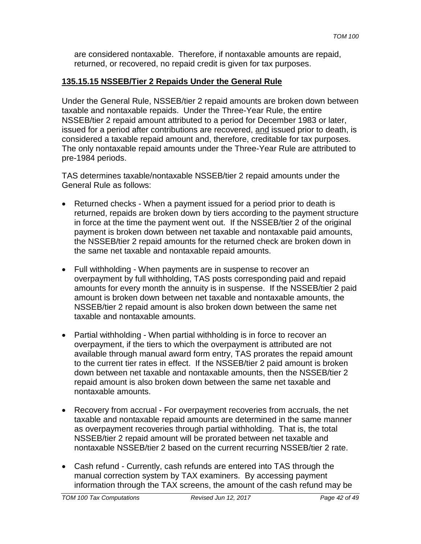are considered nontaxable. Therefore, if nontaxable amounts are repaid, returned, or recovered, no repaid credit is given for tax purposes.

# **135.15.15 NSSEB/Tier 2 Repaids Under the General Rule**

Under the General Rule, NSSEB/tier 2 repaid amounts are broken down between taxable and nontaxable repaids. Under the Three-Year Rule, the entire NSSEB/tier 2 repaid amount attributed to a period for December 1983 or later, issued for a period after contributions are recovered, and issued prior to death, is considered a taxable repaid amount and, therefore, creditable for tax purposes. The only nontaxable repaid amounts under the Three-Year Rule are attributed to pre-1984 periods.

TAS determines taxable/nontaxable NSSEB/tier 2 repaid amounts under the General Rule as follows:

- Returned checks When a payment issued for a period prior to death is returned, repaids are broken down by tiers according to the payment structure in force at the time the payment went out. If the NSSEB/tier 2 of the original payment is broken down between net taxable and nontaxable paid amounts, the NSSEB/tier 2 repaid amounts for the returned check are broken down in the same net taxable and nontaxable repaid amounts.
- Full withholding When payments are in suspense to recover an overpayment by full withholding, TAS posts corresponding paid and repaid amounts for every month the annuity is in suspense. If the NSSEB/tier 2 paid amount is broken down between net taxable and nontaxable amounts, the NSSEB/tier 2 repaid amount is also broken down between the same net taxable and nontaxable amounts.
- Partial withholding When partial withholding is in force to recover an overpayment, if the tiers to which the overpayment is attributed are not available through manual award form entry, TAS prorates the repaid amount to the current tier rates in effect. If the NSSEB/tier 2 paid amount is broken down between net taxable and nontaxable amounts, then the NSSEB/tier 2 repaid amount is also broken down between the same net taxable and nontaxable amounts.
- Recovery from accrual For overpayment recoveries from accruals, the net taxable and nontaxable repaid amounts are determined in the same manner as overpayment recoveries through partial withholding. That is, the total NSSEB/tier 2 repaid amount will be prorated between net taxable and nontaxable NSSEB/tier 2 based on the current recurring NSSEB/tier 2 rate.
- Cash refund Currently, cash refunds are entered into TAS through the manual correction system by TAX examiners. By accessing payment information through the TAX screens, the amount of the cash refund may be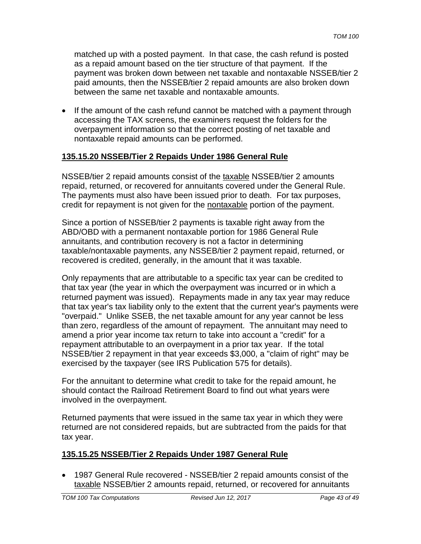matched up with a posted payment. In that case, the cash refund is posted as a repaid amount based on the tier structure of that payment. If the payment was broken down between net taxable and nontaxable NSSEB/tier 2 paid amounts, then the NSSEB/tier 2 repaid amounts are also broken down between the same net taxable and nontaxable amounts.

• If the amount of the cash refund cannot be matched with a payment through accessing the TAX screens, the examiners request the folders for the overpayment information so that the correct posting of net taxable and nontaxable repaid amounts can be performed.

# **135.15.20 NSSEB/Tier 2 Repaids Under 1986 General Rule**

NSSEB/tier 2 repaid amounts consist of the taxable NSSEB/tier 2 amounts repaid, returned, or recovered for annuitants covered under the General Rule. The payments must also have been issued prior to death. For tax purposes, credit for repayment is not given for the nontaxable portion of the payment.

Since a portion of NSSEB/tier 2 payments is taxable right away from the ABD/OBD with a permanent nontaxable portion for 1986 General Rule annuitants, and contribution recovery is not a factor in determining taxable/nontaxable payments, any NSSEB/tier 2 payment repaid, returned, or recovered is credited, generally, in the amount that it was taxable.

Only repayments that are attributable to a specific tax year can be credited to that tax year (the year in which the overpayment was incurred or in which a returned payment was issued). Repayments made in any tax year may reduce that tax year's tax liability only to the extent that the current year's payments were "overpaid." Unlike SSEB, the net taxable amount for any year cannot be less than zero, regardless of the amount of repayment. The annuitant may need to amend a prior year income tax return to take into account a "credit" for a repayment attributable to an overpayment in a prior tax year. If the total NSSEB/tier 2 repayment in that year exceeds \$3,000, a "claim of right" may be exercised by the taxpayer (see IRS Publication 575 for details).

For the annuitant to determine what credit to take for the repaid amount, he should contact the Railroad Retirement Board to find out what years were involved in the overpayment.

Returned payments that were issued in the same tax year in which they were returned are not considered repaids, but are subtracted from the paids for that tax year.

### **135.15.25 NSSEB/Tier 2 Repaids Under 1987 General Rule**

• 1987 General Rule recovered - NSSEB/tier 2 repaid amounts consist of the taxable NSSEB/tier 2 amounts repaid, returned, or recovered for annuitants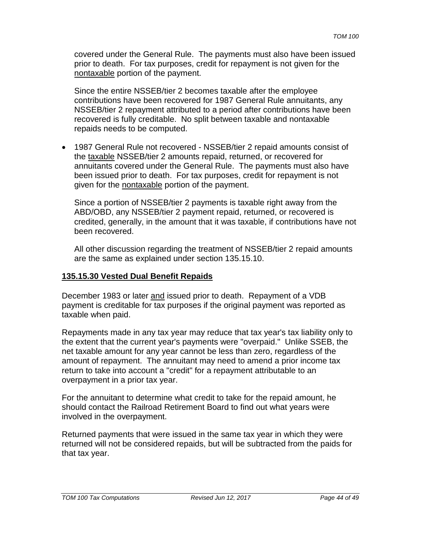covered under the General Rule. The payments must also have been issued prior to death. For tax purposes, credit for repayment is not given for the nontaxable portion of the payment.

Since the entire NSSEB/tier 2 becomes taxable after the employee contributions have been recovered for 1987 General Rule annuitants, any NSSEB/tier 2 repayment attributed to a period after contributions have been recovered is fully creditable. No split between taxable and nontaxable repaids needs to be computed.

• 1987 General Rule not recovered - NSSEB/tier 2 repaid amounts consist of the taxable NSSEB/tier 2 amounts repaid, returned, or recovered for annuitants covered under the General Rule. The payments must also have been issued prior to death. For tax purposes, credit for repayment is not given for the nontaxable portion of the payment.

Since a portion of NSSEB/tier 2 payments is taxable right away from the ABD/OBD, any NSSEB/tier 2 payment repaid, returned, or recovered is credited, generally, in the amount that it was taxable, if contributions have not been recovered.

All other discussion regarding the treatment of NSSEB/tier 2 repaid amounts are the same as explained under section 135.15.10.

#### **135.15.30 Vested Dual Benefit Repaids**

December 1983 or later and issued prior to death. Repayment of a VDB payment is creditable for tax purposes if the original payment was reported as taxable when paid.

Repayments made in any tax year may reduce that tax year's tax liability only to the extent that the current year's payments were "overpaid." Unlike SSEB, the net taxable amount for any year cannot be less than zero, regardless of the amount of repayment. The annuitant may need to amend a prior income tax return to take into account a "credit" for a repayment attributable to an overpayment in a prior tax year.

For the annuitant to determine what credit to take for the repaid amount, he should contact the Railroad Retirement Board to find out what years were involved in the overpayment.

Returned payments that were issued in the same tax year in which they were returned will not be considered repaids, but will be subtracted from the paids for that tax year.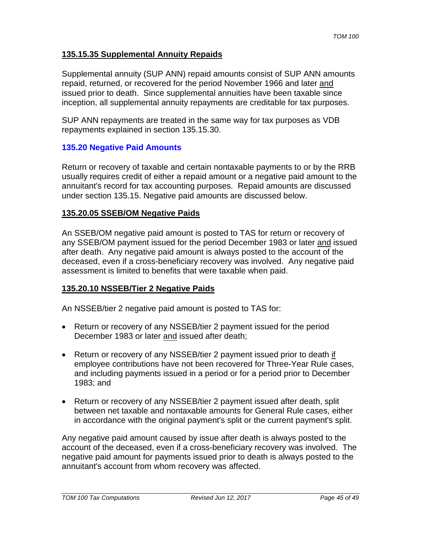### **135.15.35 Supplemental Annuity Repaids**

Supplemental annuity (SUP ANN) repaid amounts consist of SUP ANN amounts repaid, returned, or recovered for the period November 1966 and later and issued prior to death. Since supplemental annuities have been taxable since inception, all supplemental annuity repayments are creditable for tax purposes.

SUP ANN repayments are treated in the same way for tax purposes as VDB repayments explained in section 135.15.30.

#### **135.20 Negative Paid Amounts**

Return or recovery of taxable and certain nontaxable payments to or by the RRB usually requires credit of either a repaid amount or a negative paid amount to the annuitant's record for tax accounting purposes. Repaid amounts are discussed under section 135.15. Negative paid amounts are discussed below.

#### **135.20.05 SSEB/OM Negative Paids**

An SSEB/OM negative paid amount is posted to TAS for return or recovery of any SSEB/OM payment issued for the period December 1983 or later and issued after death. Any negative paid amount is always posted to the account of the deceased, even if a cross-beneficiary recovery was involved. Any negative paid assessment is limited to benefits that were taxable when paid.

### **135.20.10 NSSEB/Tier 2 Negative Paids**

An NSSEB/tier 2 negative paid amount is posted to TAS for:

- Return or recovery of any NSSEB/tier 2 payment issued for the period December 1983 or later and issued after death;
- Return or recovery of any NSSEB/tier 2 payment issued prior to death if employee contributions have not been recovered for Three-Year Rule cases, and including payments issued in a period or for a period prior to December 1983; and
- Return or recovery of any NSSEB/tier 2 payment issued after death, split between net taxable and nontaxable amounts for General Rule cases, either in accordance with the original payment's split or the current payment's split.

Any negative paid amount caused by issue after death is always posted to the account of the deceased, even if a cross-beneficiary recovery was involved. The negative paid amount for payments issued prior to death is always posted to the annuitant's account from whom recovery was affected.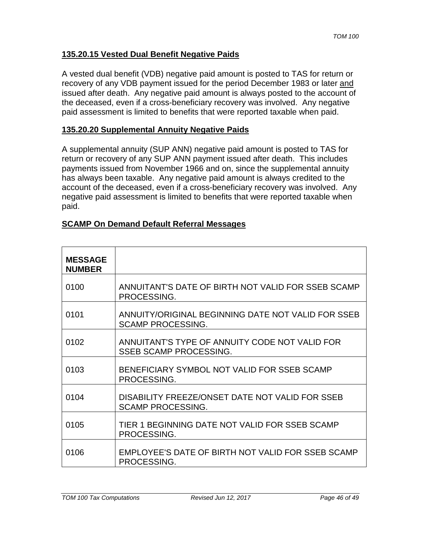### **135.20.15 Vested Dual Benefit Negative Paids**

A vested dual benefit (VDB) negative paid amount is posted to TAS for return or recovery of any VDB payment issued for the period December 1983 or later and issued after death. Any negative paid amount is always posted to the account of the deceased, even if a cross-beneficiary recovery was involved. Any negative paid assessment is limited to benefits that were reported taxable when paid.

#### **135.20.20 Supplemental Annuity Negative Paids**

A supplemental annuity (SUP ANN) negative paid amount is posted to TAS for return or recovery of any SUP ANN payment issued after death. This includes payments issued from November 1966 and on, since the supplemental annuity has always been taxable. Any negative paid amount is always credited to the account of the deceased, even if a cross-beneficiary recovery was involved. Any negative paid assessment is limited to benefits that were reported taxable when paid.

|  |  | <b>SCAMP On Demand Default Referral Messages</b> |
|--|--|--------------------------------------------------|
|  |  |                                                  |

| <b>MESSAGE</b><br><b>NUMBER</b> |                                                                                 |
|---------------------------------|---------------------------------------------------------------------------------|
| 0100                            | ANNUITANT'S DATE OF BIRTH NOT VALID FOR SSEB SCAMP<br>PROCESSING.               |
| 0101                            | ANNUITY/ORIGINAL BEGINNING DATE NOT VALID FOR SSEB<br><b>SCAMP PROCESSING.</b>  |
| 0102                            | ANNUITANT'S TYPE OF ANNUITY CODE NOT VALID FOR<br><b>SSEB SCAMP PROCESSING.</b> |
| 0103                            | BENEFICIARY SYMBOL NOT VALID FOR SSEB SCAMP<br>PROCESSING.                      |
| 0104                            | DISABILITY FREEZE/ONSET DATE NOT VALID FOR SSEB<br><b>SCAMP PROCESSING.</b>     |
| 0105                            | TIER 1 BEGINNING DATE NOT VALID FOR SSEB SCAMP<br>PROCESSING.                   |
| 0106                            | EMPLOYEE'S DATE OF BIRTH NOT VALID FOR SSEB SCAMP<br>PROCESSING.                |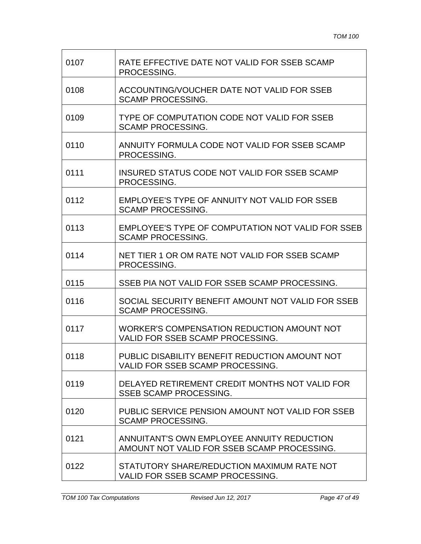| 0107 | RATE EFFECTIVE DATE NOT VALID FOR SSEB SCAMP<br>PROCESSING.                               |
|------|-------------------------------------------------------------------------------------------|
| 0108 | ACCOUNTING/VOUCHER DATE NOT VALID FOR SSEB<br><b>SCAMP PROCESSING.</b>                    |
| 0109 | TYPE OF COMPUTATION CODE NOT VALID FOR SSEB<br><b>SCAMP PROCESSING.</b>                   |
| 0110 | ANNUITY FORMULA CODE NOT VALID FOR SSEB SCAMP<br>PROCESSING.                              |
| 0111 | INSURED STATUS CODE NOT VALID FOR SSEB SCAMP<br>PROCESSING.                               |
| 0112 | EMPLOYEE'S TYPE OF ANNUITY NOT VALID FOR SSEB<br><b>SCAMP PROCESSING.</b>                 |
| 0113 | <b>EMPLOYEE'S TYPE OF COMPUTATION NOT VALID FOR SSEB</b><br><b>SCAMP PROCESSING.</b>      |
| 0114 | NET TIER 1 OR OM RATE NOT VALID FOR SSEB SCAMP<br>PROCESSING.                             |
| 0115 | SSEB PIA NOT VALID FOR SSEB SCAMP PROCESSING.                                             |
| 0116 | SOCIAL SECURITY BENEFIT AMOUNT NOT VALID FOR SSEB<br><b>SCAMP PROCESSING.</b>             |
| 0117 | WORKER'S COMPENSATION REDUCTION AMOUNT NOT<br>VALID FOR SSEB SCAMP PROCESSING.            |
| 0118 | PUBLIC DISABILITY BENEFIT REDUCTION AMOUNT NOT<br>VALID FOR SSEB SCAMP PROCESSING.        |
| 0119 | DELAYED RETIREMENT CREDIT MONTHS NOT VALID FOR<br><b>SSEB SCAMP PROCESSING.</b>           |
| 0120 | PUBLIC SERVICE PENSION AMOUNT NOT VALID FOR SSEB<br><b>SCAMP PROCESSING.</b>              |
| 0121 | ANNUITANT'S OWN EMPLOYEE ANNUITY REDUCTION<br>AMOUNT NOT VALID FOR SSEB SCAMP PROCESSING. |
| 0122 | STATUTORY SHARE/REDUCTION MAXIMUM RATE NOT<br>VALID FOR SSEB SCAMP PROCESSING.            |